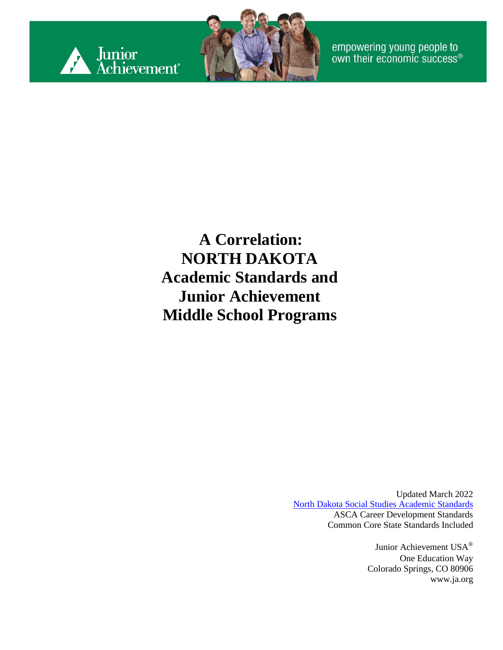



empowering young people to<br>own their economic success®

**A Correlation: NORTH DAKOTA Academic Standards and Junior Achievement Middle School Programs**

> Updated March 2022 [North Dakota Social Studies Academic](https://www.nd.gov/dpi/sites/www/files/documents/Academic%20Support/Rev5_2021.05.19_Social_Studies_Content%20Standards.pdf) Standards ASCA Career Development Standards Common Core State Standards Included

> > Junior Achievement USA® One Education Way Colorado Springs, CO 80906 [www.ja.org](http://www.ja.org/)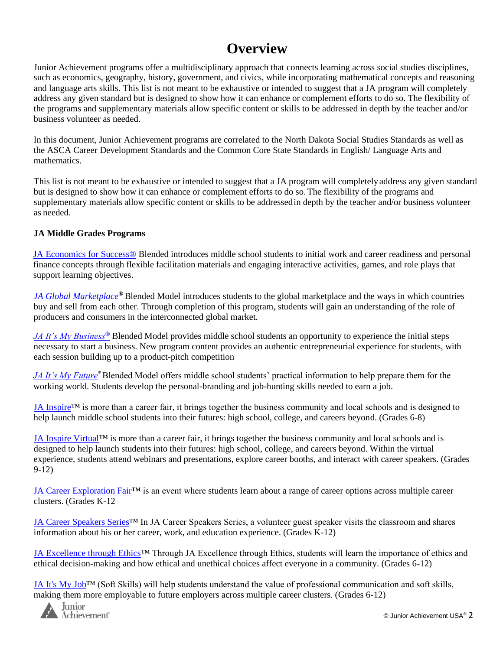#### **Overview**

Junior Achievement programs offer a multidisciplinary approach that connects learning across social studies disciplines, such as economics, geography, history, government, and civics, while incorporating mathematical concepts and reasoning and language arts skills. This list is not meant to be exhaustive or intended to suggest that a JA program will completely address any given standard but is designed to show how it can enhance or complement efforts to do so. The flexibility of the programs and supplementary materials allow specific content or skills to be addressed in depth by the teacher and/or business volunteer as needed.

In this document, Junior Achievement programs are correlated to the North Dakota Social Studies Standards as well as the ASCA Career Development Standards and the Common Core State Standards in English/ Language Arts and mathematics.

This list is not meant to be exhaustive or intended to suggest that a JA program will completely address any given standard but is designed to show how it can enhance or complement efforts to do so. The flexibility of the programs and supplementary materials allow specific content or skills to be addressedin depth by the teacher and/or business volunteer as needed.

#### **JA Middle Grades Programs**

[JA Economics for Success®](#page-4-0) Blended introduces middle school students to initial work and career readiness and personal finance concepts through flexible facilitation materials and engaging interactive activities, games, and role plays that support learning objectives.

*[JA Global Marketplace](#page-8-0)®* Blended Model introduces students to the global marketplace and the ways in which countries buy and sell from each other. Through completion of this program, students will gain an understanding of the role of producers and consumers in the interconnected global market.

*[JA It's My Business](#page-12-0)[®](#page-12-0)* Blended Model provides middle school students an opportunity to experience the initial steps necessary to start a business. New program content provides an authentic entrepreneurial experience for students, with each session building up to a product-pitch competition

*JA It's My Future®* Blended Model offers middle school students' practical information to help prepare them for the working world. Students develop the personal-branding and job-hunting skills needed to earn a job.

JA Inspire<sup>TM</sup> is more than a career fair, it brings together the business community and local schools and is designed to help launch middle school students into their futures: high school, college, and careers beyond. (Grades 6-8)

JA Inspire Virtual™ is more than a career fair, it brings together the business community and local schools and is designed to help launch students into their futures: high school, college, and careers beyond. Within the virtual experience, students attend webinars and presentations, explore career booths, and interact with career speakers. (Grades 9-12)

[JA Career Exploration Fair™](#page-24-0) is an event where students learn about a range of career options across multiple career clusters. (Grades K-12

JA Career Speakers Series™ In JA Career Speakers Series, a volunteer guest speaker visits the classroom and shares information about his or her career, work, and education experience. (Grades K-12)

JA Excellence through Ethics™ Through JA Excellence through Ethics, students will learn the importance of ethics and ethical decision-making and how ethical and unethical choices affect everyone in a community. (Grades 6-12)

[JA It's My Job™](#page-28-0) (Soft Skills) will help students understand the value of professional communication and soft skills, making them more employable to future employers across multiple career clusters. (Grades 6-12)

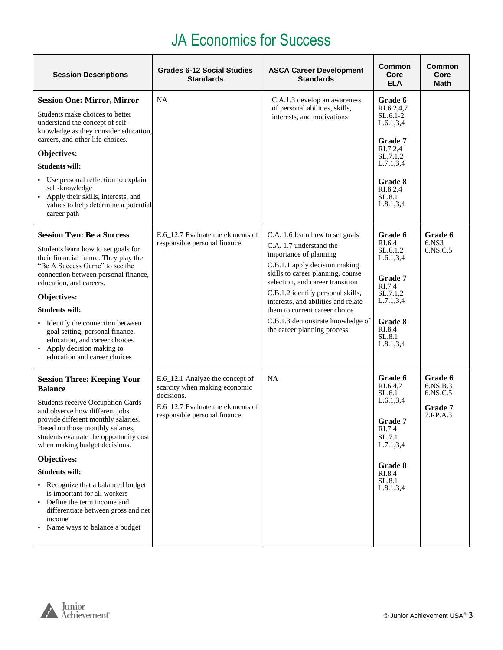#### JA Economics for Success

| <b>Session Descriptions</b>                                                                                                                                                                                                                                                                                                                                                                                                                                                                                            | <b>Grades 6-12 Social Studies</b><br><b>Standards</b>                                                                                                | <b>ASCA Career Development</b><br><b>Standards</b>                                                                                                                                                                                                                                                                                                                             | <b>Common</b><br>Core<br><b>ELA</b>                                                                                                                  | Common<br>Core<br>Math                                             |
|------------------------------------------------------------------------------------------------------------------------------------------------------------------------------------------------------------------------------------------------------------------------------------------------------------------------------------------------------------------------------------------------------------------------------------------------------------------------------------------------------------------------|------------------------------------------------------------------------------------------------------------------------------------------------------|--------------------------------------------------------------------------------------------------------------------------------------------------------------------------------------------------------------------------------------------------------------------------------------------------------------------------------------------------------------------------------|------------------------------------------------------------------------------------------------------------------------------------------------------|--------------------------------------------------------------------|
| <b>Session One: Mirror, Mirror</b><br>Students make choices to better<br>understand the concept of self-<br>knowledge as they consider education,<br>careers, and other life choices.<br>Objectives:<br><b>Students will:</b><br>• Use personal reflection to explain<br>self-knowledge<br>Apply their skills, interests, and<br>values to help determine a potential<br>career path                                                                                                                                   | <b>NA</b>                                                                                                                                            | C.A.1.3 develop an awareness<br>of personal abilities, skills,<br>interests, and motivations                                                                                                                                                                                                                                                                                   | Grade 6<br>RI.6.2,4,7<br>$SL.6.1-2$<br>L.6.1, 3, 4<br>Grade 7<br>RI.7.2,4<br>SL.7.1,2<br>L.7.1, 3, 4<br>Grade 8<br>RI.8.2,4<br>SL.8.1<br>L.8.1, 3, 4 |                                                                    |
| <b>Session Two: Be a Success</b><br>Students learn how to set goals for<br>their financial future. They play the<br>"Be A Success Game" to see the<br>connection between personal finance,<br>education, and careers.<br>Objectives:<br><b>Students will:</b><br>Identify the connection between<br>goal setting, personal finance,<br>education, and career choices<br>• Apply decision making to<br>education and career choices                                                                                     | E.6_12.7 Evaluate the elements of<br>responsible personal finance.                                                                                   | C.A. 1.6 learn how to set goals<br>C.A. 1.7 understand the<br>importance of planning<br>C.B.1.1 apply decision making<br>skills to career planning, course<br>selection, and career transition<br>C.B.1.2 identify personal skills,<br>interests, and abilities and relate<br>them to current career choice<br>C.B.1.3 demonstrate knowledge of<br>the career planning process | Grade 6<br>RI.6.4<br>SL.6.1.2<br>L.6.1, 3, 4<br>Grade 7<br>RI.7.4<br>SL.7.1.2<br>L.7.1, 3, 4<br>Grade 8<br>RI.8.4<br>SL.8.1<br>L.8.1, 3, 4           | Grade 6<br>6.NS3<br>6.NS.C.5                                       |
| <b>Session Three: Keeping Your</b><br><b>Balance</b><br><b>Students receive Occupation Cards</b><br>and observe how different jobs<br>provide different monthly salaries.<br>Based on those monthly salaries,<br>students evaluate the opportunity cost<br>when making budget decisions.<br>Objectives:<br><b>Students will:</b><br>• Recognize that a balanced budget<br>is important for all workers<br>Define the term income and<br>differentiate between gross and net<br>income<br>Name ways to balance a budget | E.6_12.1 Analyze the concept of<br>scarcity when making economic<br>decisions.<br>E.6_12.7 Evaluate the elements of<br>responsible personal finance. | NA                                                                                                                                                                                                                                                                                                                                                                             | Grade 6<br>RI.6.4.7<br>SL.6.1<br>L.6.1, 3, 4<br>Grade 7<br>RI.7.4<br>SL.7.1<br>L.7.1, 3, 4<br><b>Grade 8</b><br>RI.8.4<br>SL.8.1<br>L.8.1, 3, 4      | Grade 6<br>$6.$ NS $B.3$<br>6.NS.C.5<br><b>Grade</b> 7<br>7.RP.A.3 |

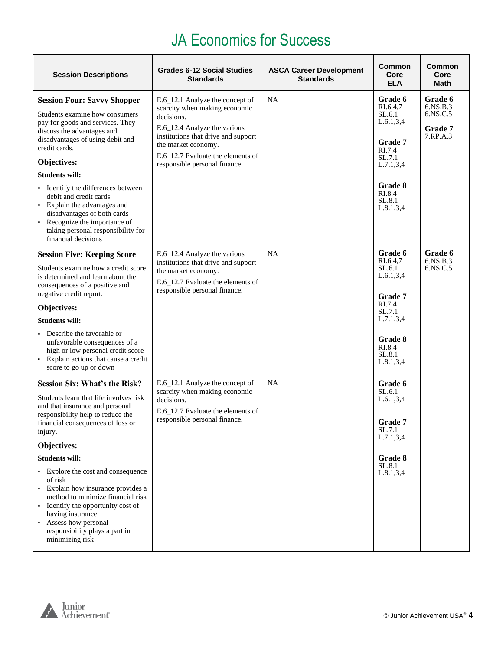#### JA Economics for Success

| <b>Session Descriptions</b>                                                                                                                                                                                                                                                                                                                                                                                                                                                                                    | <b>Grades 6-12 Social Studies</b><br><b>Standards</b>                                                                                                                                                                                              | <b>ASCA Career Development</b><br><b>Standards</b> | <b>Common</b><br>Core<br><b>ELA</b>                                                                                                      | Common<br>Core<br>Math                                 |
|----------------------------------------------------------------------------------------------------------------------------------------------------------------------------------------------------------------------------------------------------------------------------------------------------------------------------------------------------------------------------------------------------------------------------------------------------------------------------------------------------------------|----------------------------------------------------------------------------------------------------------------------------------------------------------------------------------------------------------------------------------------------------|----------------------------------------------------|------------------------------------------------------------------------------------------------------------------------------------------|--------------------------------------------------------|
| <b>Session Four: Savvy Shopper</b><br>Students examine how consumers<br>pay for goods and services. They<br>discuss the advantages and<br>disadvantages of using debit and<br>credit cards.<br>Objectives:<br><b>Students will:</b><br>Identify the differences between<br>debit and credit cards<br>• Explain the advantages and<br>disadvantages of both cards<br>Recognize the importance of<br>taking personal responsibility for<br>financial decisions                                                   | E.6_12.1 Analyze the concept of<br>scarcity when making economic<br>decisions.<br>E.6_12.4 Analyze the various<br>institutions that drive and support<br>the market economy.<br>E.6_12.7 Evaluate the elements of<br>responsible personal finance. | NA                                                 | Grade 6<br>RI.6.4,7<br>SL.6.1<br>L.6.1, 3, 4<br>Grade 7<br>RI.7.4<br>SL.7.1<br>L.7.1, 3, 4<br>Grade 8<br>RI.8.4<br>SL.8.1<br>L.8.1, 3, 4 | Grade 6<br>6.NS.B.3<br>6.NS.C.5<br>Grade 7<br>7.RP.A.3 |
| <b>Session Five: Keeping Score</b><br>Students examine how a credit score<br>is determined and learn about the<br>consequences of a positive and<br>negative credit report.<br>Objectives:<br><b>Students will:</b><br>Describe the favorable or<br>unfavorable consequences of a<br>high or low personal credit score<br>Explain actions that cause a credit<br>score to go up or down                                                                                                                        | E.6_12.4 Analyze the various<br>institutions that drive and support<br>the market economy.<br>E.6_12.7 Evaluate the elements of<br>responsible personal finance.                                                                                   | NA                                                 | Grade 6<br>RI.6.4,7<br>SL.6.1<br>L.6.1, 3, 4<br>Grade 7<br>RI.7.4<br>SL.7.1<br>L.7.1, 3, 4<br>Grade 8<br>RI.8.4<br>SL.8.1<br>L.8.1, 3, 4 | Grade 6<br>$6.$ NS $B.3$<br>6.NS.C.5                   |
| <b>Session Six: What's the Risk?</b><br>Students learn that life involves risk<br>and that insurance and personal<br>responsibility help to reduce the<br>financial consequences of loss or<br>injury.<br>Objectives:<br><b>Students will:</b><br>• Explore the cost and consequence<br>of risk<br>Explain how insurance provides a<br>method to minimize financial risk<br>• Identify the opportunity cost of<br>having insurance<br>Assess how personal<br>responsibility plays a part in<br>minimizing risk | E.6_12.1 Analyze the concept of<br>scarcity when making economic<br>decisions.<br>E.6_12.7 Evaluate the elements of<br>responsible personal finance.                                                                                               | NA                                                 | Grade 6<br>SL.6.1<br>L.6.1, 3, 4<br><b>Grade</b> 7<br>SL.7.1<br>L.7.1, 3, 4<br>Grade 8<br>SL.8.1<br>L.8.1, 3, 4                          |                                                        |

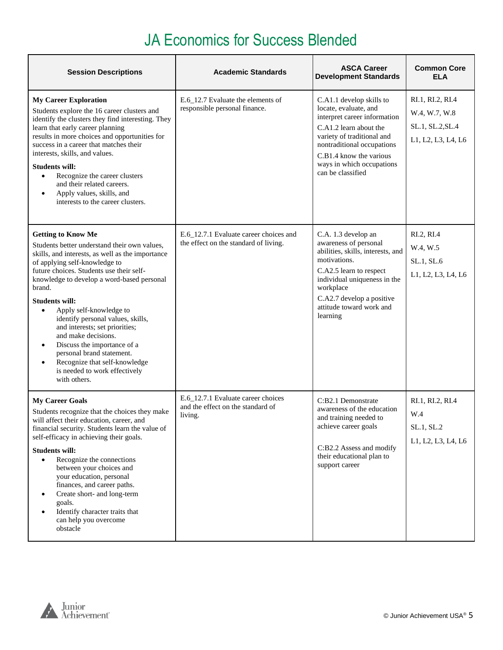<span id="page-4-0"></span>

| <b>Session Descriptions</b>                                                                                                                                                                                                                                                                                                                                                                                                                                                                                                                                                               | <b>Academic Standards</b>                                                          | <b>ASCA Career</b><br><b>Development Standards</b>                                                                                                                                                                                                   | <b>Common Core</b><br><b>ELA</b>                                            |
|-------------------------------------------------------------------------------------------------------------------------------------------------------------------------------------------------------------------------------------------------------------------------------------------------------------------------------------------------------------------------------------------------------------------------------------------------------------------------------------------------------------------------------------------------------------------------------------------|------------------------------------------------------------------------------------|------------------------------------------------------------------------------------------------------------------------------------------------------------------------------------------------------------------------------------------------------|-----------------------------------------------------------------------------|
| <b>My Career Exploration</b><br>Students explore the 16 career clusters and<br>identify the clusters they find interesting. They<br>learn that early career planning<br>results in more choices and opportunities for<br>success in a career that matches their<br>interests, skills, and values.<br><b>Students will:</b><br>Recognize the career clusters<br>$\bullet$<br>and their related careers.<br>Apply values, skills, and<br>$\bullet$<br>interests to the career clusters.                                                                                                     | E.6_12.7 Evaluate the elements of<br>responsible personal finance.                 | C.A1.1 develop skills to<br>locate, evaluate, and<br>interpret career information<br>C.A1.2 learn about the<br>variety of traditional and<br>nontraditional occupations<br>C.B1.4 know the various<br>ways in which occupations<br>can be classified | RI.1, RI.2, RI.4<br>W.4, W.7, W.8<br>SL.1, SL.2, SL.4<br>L1, L2, L3, L4, L6 |
| <b>Getting to Know Me</b><br>Students better understand their own values,<br>skills, and interests, as well as the importance<br>of applying self-knowledge to<br>future choices. Students use their self-<br>knowledge to develop a word-based personal<br>brand.<br><b>Students will:</b><br>Apply self-knowledge to<br>$\bullet$<br>identify personal values, skills,<br>and interests; set priorities;<br>and make decisions.<br>Discuss the importance of a<br>٠<br>personal brand statement.<br>Recognize that self-knowledge<br>٠<br>is needed to work effectively<br>with others. | E.6_12.7.1 Evaluate career choices and<br>the effect on the standard of living.    | C.A. 1.3 develop an<br>awareness of personal<br>abilities, skills, interests, and<br>motivations.<br>C.A2.5 learn to respect<br>individual uniqueness in the<br>workplace<br>C.A2.7 develop a positive<br>attitude toward work and<br>learning       | RI.2, RI.4<br>W.4, W.5<br>SL.1, SL.6<br>L1, L2, L3, L4, L6                  |
| <b>My Career Goals</b><br>Students recognize that the choices they make<br>will affect their education, career, and<br>financial security. Students learn the value of<br>self-efficacy in achieving their goals.<br><b>Students will:</b><br>Recognize the connections<br>$\bullet$<br>between your choices and<br>your education, personal<br>finances, and career paths.<br>Create short- and long-term<br>٠<br>goals.<br>Identify character traits that<br>$\bullet$<br>can help you overcome<br>obstacle                                                                             | E.6_12.7.1 Evaluate career choices<br>and the effect on the standard of<br>living. | C:B2.1 Demonstrate<br>awareness of the education<br>and training needed to<br>achieve career goals<br>C:B2.2 Assess and modify<br>their educational plan to<br>support career                                                                        | RI.1, RI.2, RI.4<br>W.4<br>SL.1, SL.2<br>L1, L2, L3, L4, L6                 |

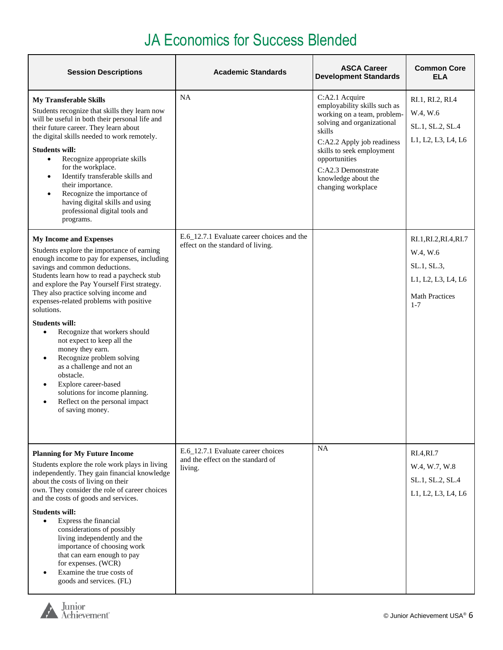| <b>Session Descriptions</b>                                                                                                                                                                                                                                                                                                                                                                                                                                                                                                                                                                                                                                                                                          | <b>Academic Standards</b>                                                          | <b>ASCA Career</b><br><b>Development Standards</b>                                                                                                                                                                                                                   | <b>Common Core</b><br><b>ELA</b>                                                                            |
|----------------------------------------------------------------------------------------------------------------------------------------------------------------------------------------------------------------------------------------------------------------------------------------------------------------------------------------------------------------------------------------------------------------------------------------------------------------------------------------------------------------------------------------------------------------------------------------------------------------------------------------------------------------------------------------------------------------------|------------------------------------------------------------------------------------|----------------------------------------------------------------------------------------------------------------------------------------------------------------------------------------------------------------------------------------------------------------------|-------------------------------------------------------------------------------------------------------------|
| <b>My Transferable Skills</b><br>Students recognize that skills they learn now<br>will be useful in both their personal life and<br>their future career. They learn about<br>the digital skills needed to work remotely.<br><b>Students will:</b><br>Recognize appropriate skills<br>$\bullet$<br>for the workplace.<br>Identify transferable skills and<br>$\bullet$<br>their importance.<br>Recognize the importance of<br>$\bullet$<br>having digital skills and using<br>professional digital tools and<br>programs.                                                                                                                                                                                             | <b>NA</b>                                                                          | C:A2.1 Acquire<br>employability skills such as<br>working on a team, problem-<br>solving and organizational<br>skills<br>C:A2.2 Apply job readiness<br>skills to seek employment<br>opportunities<br>C:A2.3 Demonstrate<br>knowledge about the<br>changing workplace | RI.1, RI.2, RI.4<br>W.4, W.6<br>SL.1, SL.2, SL.4<br>L1, L2, L3, L4, L6                                      |
| <b>My Income and Expenses</b><br>Students explore the importance of earning<br>enough income to pay for expenses, including<br>savings and common deductions.<br>Students learn how to read a paycheck stub<br>and explore the Pay Yourself First strategy.<br>They also practice solving income and<br>expenses-related problems with positive<br>solutions.<br><b>Students will:</b><br>Recognize that workers should<br>$\bullet$<br>not expect to keep all the<br>money they earn.<br>Recognize problem solving<br>$\bullet$<br>as a challenge and not an<br>obstacle.<br>Explore career-based<br>$\bullet$<br>solutions for income planning.<br>Reflect on the personal impact<br>$\bullet$<br>of saving money. | E.6_12.7.1 Evaluate career choices and the<br>effect on the standard of living.    |                                                                                                                                                                                                                                                                      | RI.1, RI.2, RI.4, RI.7<br>W.4, W.6<br>SL.1, SL.3,<br>L1, L2, L3, L4, L6<br><b>Math Practices</b><br>$1 - 7$ |
| <b>Planning for My Future Income</b><br>Students explore the role work plays in living<br>independently. They gain financial knowledge<br>about the costs of living on their<br>own. They consider the role of career choices<br>and the costs of goods and services.<br><b>Students will:</b><br>Express the financial<br>$\bullet$<br>considerations of possibly<br>living independently and the<br>importance of choosing work<br>that can earn enough to pay<br>for expenses. (WCR)<br>Examine the true costs of<br>goods and services. (FL)                                                                                                                                                                     | E.6_12.7.1 Evaluate career choices<br>and the effect on the standard of<br>living. | <b>NA</b>                                                                                                                                                                                                                                                            | RI.4, RI.7<br>W.4, W.7, W.8<br>SL.1, SL.2, SL.4<br>L1, L2, L3, L4, L6                                       |

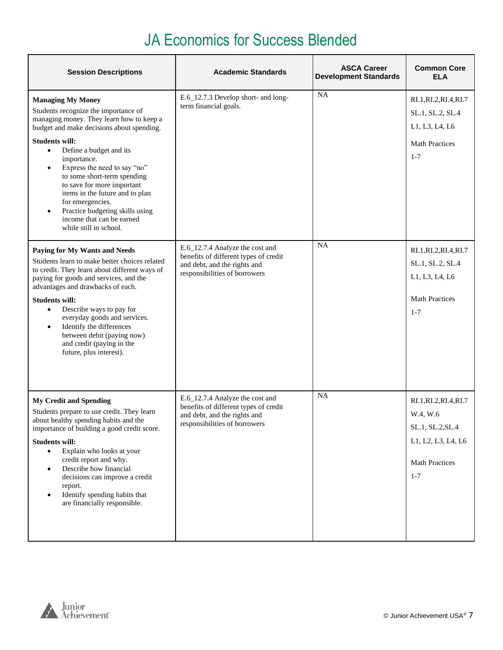| <b>Session Descriptions</b>                                                                                                                                                                                                                                                                                                                                                                                                                                                                                       | <b>Academic Standards</b>                                                                                                                 | <b>ASCA Career</b><br><b>Development Standards</b> | <b>Common Core</b><br><b>ELA</b>                                                                                 |
|-------------------------------------------------------------------------------------------------------------------------------------------------------------------------------------------------------------------------------------------------------------------------------------------------------------------------------------------------------------------------------------------------------------------------------------------------------------------------------------------------------------------|-------------------------------------------------------------------------------------------------------------------------------------------|----------------------------------------------------|------------------------------------------------------------------------------------------------------------------|
| <b>Managing My Money</b><br>Students recognize the importance of<br>managing money. They learn how to keep a<br>budget and make decisions about spending.<br><b>Students will:</b><br>Define a budget and its<br>$\bullet$<br>importance.<br>Express the need to say "no"<br>$\bullet$<br>to some short-term spending<br>to save for more important<br>items in the future and to plan<br>for emergencies.<br>Practice budgeting skills using<br>$\bullet$<br>income that can be earned<br>while still in school. | E.6_12.7.3 Develop short- and long-<br>term financial goals.                                                                              | <b>NA</b>                                          | RI.1, RI.2, RI.4, RI.7<br>SL.1, SL.2, SL.4<br>L1, L3, L4, L6<br><b>Math Practices</b><br>$1 - 7$                 |
| Paying for My Wants and Needs<br>Students learn to make better choices related<br>to credit. They learn about different ways of<br>paying for goods and services, and the<br>advantages and drawbacks of each.<br><b>Students will:</b><br>Describe ways to pay for<br>$\bullet$<br>everyday goods and services.<br>Identify the differences<br>$\bullet$<br>between debit (paying now)<br>and credit (paying in the<br>future, plus interest).                                                                   | E.6_12.7.4 Analyze the cost and<br>benefits of different types of credit<br>and debt, and the rights and<br>responsibilities of borrowers | <b>NA</b>                                          | RI.1, RI.2, RI.4, RI.7<br>SL.1, SL.2, SL.4<br>L1, L3, L4, L6<br><b>Math Practices</b><br>$1 - 7$                 |
| <b>My Credit and Spending</b><br>Students prepare to use credit. They learn<br>about healthy spending habits and the<br>importance of building a good credit score.<br><b>Students will:</b><br>Explain who looks at your<br>$\bullet$<br>credit report and why.<br>Describe how financial<br>$\bullet$<br>decisions can improve a credit<br>report.<br>Identify spending habits that<br>$\bullet$<br>are financially responsible.                                                                                | E.6_12.7.4 Analyze the cost and<br>benefits of different types of credit<br>and debt, and the rights and<br>responsibilities of borrowers | NA                                                 | RI.1, RI.2, RI.4, RI.7<br>W.4, W.6<br>SL.1, SL.2, SL.4<br>L1, L2, L3, L4, L6<br><b>Math Practices</b><br>$1 - 7$ |

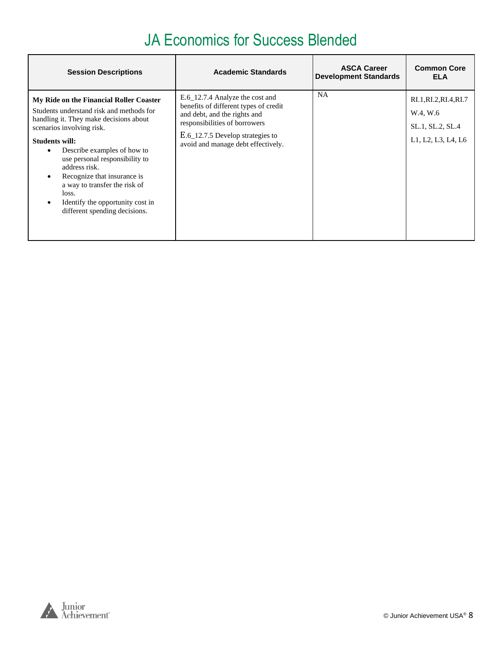| <b>Session Descriptions</b>                                                                                                                                                                                                                                                                                                                                                                                                                   | <b>Academic Standards</b>                                                                                                                                                                                           | <b>ASCA Career</b><br><b>Development Standards</b> | <b>Common Core</b><br><b>ELA</b>                                             |
|-----------------------------------------------------------------------------------------------------------------------------------------------------------------------------------------------------------------------------------------------------------------------------------------------------------------------------------------------------------------------------------------------------------------------------------------------|---------------------------------------------------------------------------------------------------------------------------------------------------------------------------------------------------------------------|----------------------------------------------------|------------------------------------------------------------------------------|
| My Ride on the Financial Roller Coaster<br>Students understand risk and methods for<br>handling it. They make decisions about<br>scenarios involving risk.<br><b>Students will:</b><br>Describe examples of how to<br>$\bullet$<br>use personal responsibility to<br>address risk.<br>Recognize that insurance is<br>a way to transfer the risk of<br>loss.<br>Identify the opportunity cost in<br>$\bullet$<br>different spending decisions. | E.6_12.7.4 Analyze the cost and<br>benefits of different types of credit<br>and debt, and the rights and<br>responsibilities of borrowers<br>E.6_12.7.5 Develop strategies to<br>avoid and manage debt effectively. | <b>NA</b>                                          | RI.1, RI.2, RI.4, RI.7<br>W.4, W.6<br>SL.1, SL.2, SL.4<br>L1, L2, L3, L4, L6 |

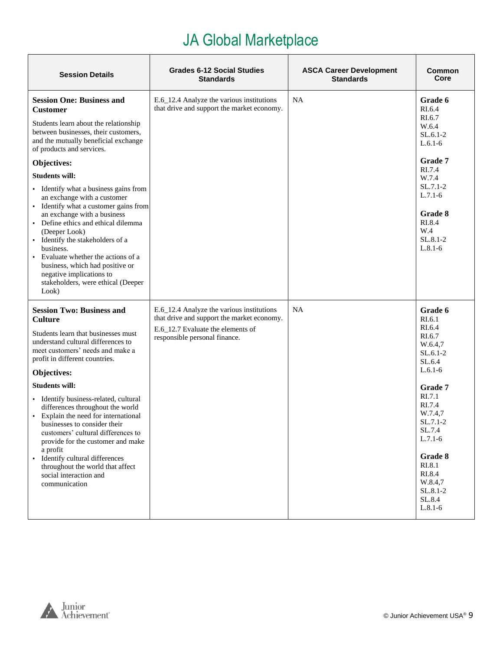<span id="page-8-0"></span>

| <b>Session Details</b>                                                                                                                                                                                                                                                                                                                                                                                                                                                                                                                                                                                                                                          | <b>Grades 6-12 Social Studies</b><br><b>Standards</b>                                                                                                         | <b>ASCA Career Development</b><br><b>Standards</b> | Common<br>Core                                                                                                                                                                                                                                    |
|-----------------------------------------------------------------------------------------------------------------------------------------------------------------------------------------------------------------------------------------------------------------------------------------------------------------------------------------------------------------------------------------------------------------------------------------------------------------------------------------------------------------------------------------------------------------------------------------------------------------------------------------------------------------|---------------------------------------------------------------------------------------------------------------------------------------------------------------|----------------------------------------------------|---------------------------------------------------------------------------------------------------------------------------------------------------------------------------------------------------------------------------------------------------|
| <b>Session One: Business and</b><br><b>Customer</b><br>Students learn about the relationship<br>between businesses, their customers,<br>and the mutually beneficial exchange<br>of products and services.<br>Objectives:<br><b>Students will:</b><br>• Identify what a business gains from<br>an exchange with a customer<br>• Identify what a customer gains from<br>an exchange with a business<br>• Define ethics and ethical dilemma<br>(Deeper Look)<br>· Identify the stakeholders of a<br>business.<br>• Evaluate whether the actions of a<br>business, which had positive or<br>negative implications to<br>stakeholders, were ethical (Deeper<br>Look) | E.6_12.4 Analyze the various institutions<br>that drive and support the market economy.                                                                       | NA                                                 | Grade 6<br>RI.6.4<br>RI.6.7<br>W.6.4<br>$SL.6.1-2$<br>$L.6.1-6$<br><b>Grade 7</b><br>RI.7.4<br>W.7.4<br>$SL.7.1-2$<br>$L.7.1-6$<br>Grade 8<br>RI.8.4<br>W.4<br>SL.8.1-2<br>$L.8.1-6$                                                              |
| <b>Session Two: Business and</b><br><b>Culture</b><br>Students learn that businesses must<br>understand cultural differences to<br>meet customers' needs and make a<br>profit in different countries.<br>Objectives:<br><b>Students will:</b><br>· Identify business-related, cultural<br>differences throughout the world<br>• Explain the need for international<br>businesses to consider their<br>customers' cultural differences to<br>provide for the customer and make<br>a profit<br>· Identify cultural differences<br>throughout the world that affect<br>social interaction and<br>communication                                                     | E.6_12.4 Analyze the various institutions<br>that drive and support the market economy.<br>E.6_12.7 Evaluate the elements of<br>responsible personal finance. | NA                                                 | Grade 6<br>RI.6.1<br>RI.6.4<br>RI.6.7<br>W.6.4,7<br>$SL.6.1-2$<br>SL.6.4<br>$L.6.1-6$<br>Grade 7<br>RI.7.1<br>RI.7.4<br>W.7.4.7<br>$SL.7.1-2$<br>SL.7.4<br>$L.7.1-6$<br>Grade 8<br>RI.8.1<br>RI.8.4<br>W.8.4,7<br>SL.8.1-2<br>SL.8.4<br>$L.8.1-6$ |

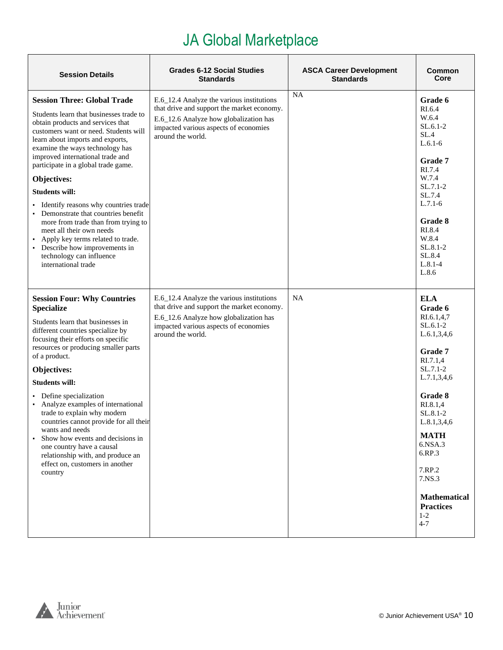| <b>Session Details</b>                                                                                                                                                                                                                                                                                                                                                                                                                                                                                                                                                                                                               | <b>Grades 6-12 Social Studies</b><br><b>Standards</b>                                                                                                                                           | <b>ASCA Career Development</b><br><b>Standards</b> | Common<br>Core                                                                                                                                                                                                                                                                                       |
|--------------------------------------------------------------------------------------------------------------------------------------------------------------------------------------------------------------------------------------------------------------------------------------------------------------------------------------------------------------------------------------------------------------------------------------------------------------------------------------------------------------------------------------------------------------------------------------------------------------------------------------|-------------------------------------------------------------------------------------------------------------------------------------------------------------------------------------------------|----------------------------------------------------|------------------------------------------------------------------------------------------------------------------------------------------------------------------------------------------------------------------------------------------------------------------------------------------------------|
| <b>Session Three: Global Trade</b><br>Students learn that businesses trade to<br>obtain products and services that<br>customers want or need. Students will<br>learn about imports and exports,<br>examine the ways technology has<br>improved international trade and<br>participate in a global trade game.<br>Objectives:<br><b>Students will:</b><br>· Identify reasons why countries trade<br>• Demonstrate that countries benefit<br>more from trade than from trying to<br>meet all their own needs<br>Apply key terms related to trade.<br>• Describe how improvements in<br>technology can influence<br>international trade | E.6_12.4 Analyze the various institutions<br>that drive and support the market economy.<br>E.6_12.6 Analyze how globalization has<br>impacted various aspects of economies<br>around the world. | <b>NA</b>                                          | Grade 6<br>RI.6.4<br>W.6.4<br>$SL.6.1-2$<br>SL.4<br>$L.6.1-6$<br>Grade 7<br>RI.7.4<br>W.7.4<br>SL.7.1-2<br>SL.7.4<br>$L.7.1-6$<br>Grade 8<br>RI.8.4<br>W.8.4<br>SL.8.1-2<br>SL.8.4<br>$L.8.1 - 4$<br>L.8.6                                                                                           |
| <b>Session Four: Why Countries</b><br><b>Specialize</b><br>Students learn that businesses in<br>different countries specialize by<br>focusing their efforts on specific<br>resources or producing smaller parts<br>of a product.<br>Objectives:<br><b>Students will:</b><br>• Define specialization<br>• Analyze examples of international<br>trade to explain why modern<br>countries cannot provide for all their<br>wants and needs<br>Show how events and decisions in<br>one country have a causal<br>relationship with, and produce an<br>effect on, customers in another<br>country                                           | E.6_12.4 Analyze the various institutions<br>that drive and support the market economy.<br>E.6_12.6 Analyze how globalization has<br>impacted various aspects of economies<br>around the world. | <b>NA</b>                                          | <b>ELA</b><br>Grade 6<br>RI.6.1,4,7<br>SL.6.1-2<br>L.6.1, 3, 4, 6<br>Grade 7<br>RI.7.1,4<br>SL.7.1-2<br>L.7.1, 3, 4, 6<br>Grade 8<br>RI.8.1,4<br>SL.8.1-2<br>L.8.1, 3, 4, 6<br><b>MATH</b><br>6.NSA.3<br>6.RP.3<br>7.RP.2<br>7.NS.3<br><b>Mathematical</b><br><b>Practices</b><br>$1 - 2$<br>$4 - 7$ |

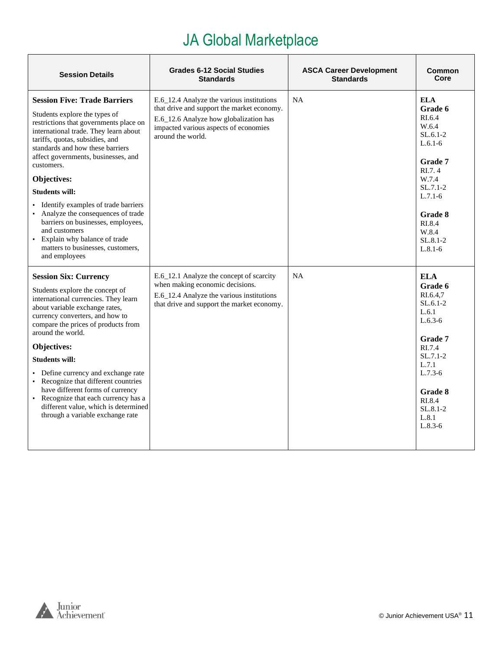| <b>Session Details</b>                                                                                                                                                                                                                                                                                                                                               | <b>Grades 6-12 Social Studies</b><br><b>Standards</b>                                                                                                                                           | <b>ASCA Career Development</b><br><b>Standards</b> | Common<br>Core                                                                                                               |
|----------------------------------------------------------------------------------------------------------------------------------------------------------------------------------------------------------------------------------------------------------------------------------------------------------------------------------------------------------------------|-------------------------------------------------------------------------------------------------------------------------------------------------------------------------------------------------|----------------------------------------------------|------------------------------------------------------------------------------------------------------------------------------|
| <b>Session Five: Trade Barriers</b><br>Students explore the types of<br>restrictions that governments place on<br>international trade. They learn about<br>tariffs, quotas, subsidies, and<br>standards and how these barriers<br>affect governments, businesses, and<br>customers.<br>Objectives:<br><b>Students will:</b><br>• Identify examples of trade barriers | E.6_12.4 Analyze the various institutions<br>that drive and support the market economy.<br>E.6_12.6 Analyze how globalization has<br>impacted various aspects of economies<br>around the world. | NA                                                 | <b>ELA</b><br>Grade 6<br>RI.6.4<br>W.6.4<br>$SL.6.1-2$<br>$L.6.1-6$<br>Grade 7<br>RI.7.4<br>W.7.4<br>$SL.7.1-2$<br>$L.7.1-6$ |
| Analyze the consequences of trade<br>barriers on businesses, employees,<br>and customers<br>• Explain why balance of trade<br>matters to businesses, customers,<br>and employees                                                                                                                                                                                     |                                                                                                                                                                                                 |                                                    | Grade 8<br>RI.8.4<br>W.8.4<br>$SL.8.1-2$<br>$L.8.1-6$                                                                        |
| <b>Session Six: Currency</b><br>Students explore the concept of<br>international currencies. They learn<br>about variable exchange rates,<br>currency converters, and how to<br>compare the prices of products from<br>around the world.                                                                                                                             | E.6_12.1 Analyze the concept of scarcity<br>when making economic decisions.<br>E.6_12.4 Analyze the various institutions<br>that drive and support the market economy.                          | <b>NA</b>                                          | <b>ELA</b><br>Grade 6<br>RI.6.4.7<br>$SL.6.1-2$<br>L.6.1<br>$L.6.3-6$<br>Grade 7                                             |
| <b>Objectives:</b>                                                                                                                                                                                                                                                                                                                                                   |                                                                                                                                                                                                 |                                                    | RI.7.4<br>$SL.7.1-2$                                                                                                         |
| <b>Students will:</b><br>• Define currency and exchange rate<br>• Recognize that different countries                                                                                                                                                                                                                                                                 |                                                                                                                                                                                                 |                                                    | L.7.1<br>$L.7.3-6$                                                                                                           |
| have different forms of currency<br>• Recognize that each currency has a<br>different value, which is determined<br>through a variable exchange rate                                                                                                                                                                                                                 |                                                                                                                                                                                                 |                                                    | Grade 8<br>RI.8.4<br>$SL.8.1 - 2$<br>L.8.1<br>$L.8.3-6$                                                                      |

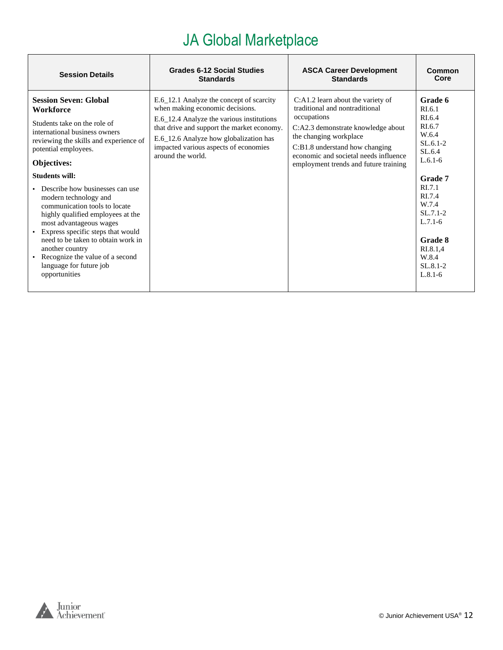| <b>Session Details</b>                                                                                                                                                                                                                                                                                                                                                                                                                                                                                                                                               | <b>Grades 6-12 Social Studies</b>                                                                                                                                                                                                                                              | <b>ASCA Career Development</b>                                                                                                                                                                                                                                         | Common                                                                                                                                                                                                                        |
|----------------------------------------------------------------------------------------------------------------------------------------------------------------------------------------------------------------------------------------------------------------------------------------------------------------------------------------------------------------------------------------------------------------------------------------------------------------------------------------------------------------------------------------------------------------------|--------------------------------------------------------------------------------------------------------------------------------------------------------------------------------------------------------------------------------------------------------------------------------|------------------------------------------------------------------------------------------------------------------------------------------------------------------------------------------------------------------------------------------------------------------------|-------------------------------------------------------------------------------------------------------------------------------------------------------------------------------------------------------------------------------|
|                                                                                                                                                                                                                                                                                                                                                                                                                                                                                                                                                                      | <b>Standards</b>                                                                                                                                                                                                                                                               | <b>Standards</b>                                                                                                                                                                                                                                                       | Core                                                                                                                                                                                                                          |
| <b>Session Seven: Global</b><br>Workforce<br>Students take on the role of<br>international business owners<br>reviewing the skills and experience of<br>potential employees.<br>Objectives:<br><b>Students will:</b><br>• Describe how businesses can use<br>modern technology and<br>communication tools to locate<br>highly qualified employees at the<br>most advantageous wages<br>• Express specific steps that would<br>need to be taken to obtain work in<br>another country<br>• Recognize the value of a second<br>language for future job<br>opportunities | E.6_12.1 Analyze the concept of scarcity<br>when making economic decisions.<br>E.6_12.4 Analyze the various institutions<br>that drive and support the market economy.<br>E.6_12.6 Analyze how globalization has<br>impacted various aspects of economies<br>around the world. | C:A1.2 learn about the variety of<br>traditional and nontraditional<br>occupations<br>C:A2.3 demonstrate knowledge about<br>the changing workplace<br>C:B1.8 understand how changing<br>economic and societal needs influence<br>employment trends and future training | Grade 6<br>RI.6.1<br>RI.6.4<br>RI.6.7<br>W.6.4<br>$SL.6.1-2$<br>SL.6.4<br>$L.6.1-6$<br>Grade 7<br>R <sub>1.7.1</sub><br>RI.7.4<br>W.7.4<br>$SL.7.1-2$<br>$L.7.1-6$<br>Grade 8<br>RI.8.1,4<br>W.8.4<br>$SL.8.1-2$<br>$L.8.1-6$ |

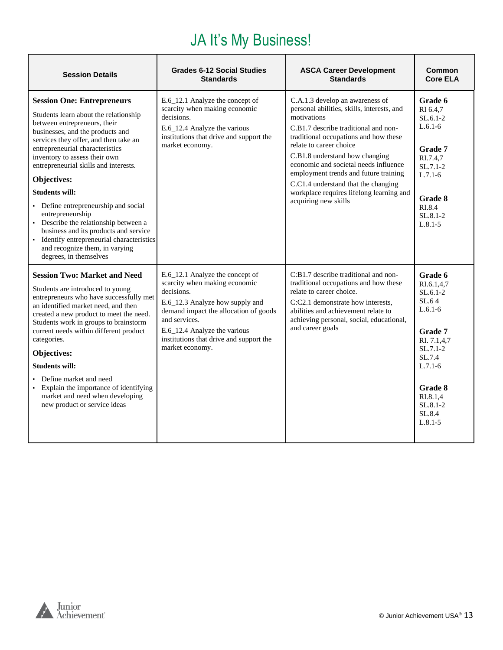#### JA It's My Business!

<span id="page-12-0"></span>

| <b>Session Details</b>                                                                                                                                                                                                                                                                                                                                                                                                                                                                 | <b>Grades 6-12 Social Studies</b><br><b>Standards</b>                                                                                                                                                                                                                     | <b>ASCA Career Development</b><br><b>Standards</b>                                                                                                                                                                                                                                                                                                                                                                                      | Common<br><b>Core ELA</b>                                                                                                                                                      |
|----------------------------------------------------------------------------------------------------------------------------------------------------------------------------------------------------------------------------------------------------------------------------------------------------------------------------------------------------------------------------------------------------------------------------------------------------------------------------------------|---------------------------------------------------------------------------------------------------------------------------------------------------------------------------------------------------------------------------------------------------------------------------|-----------------------------------------------------------------------------------------------------------------------------------------------------------------------------------------------------------------------------------------------------------------------------------------------------------------------------------------------------------------------------------------------------------------------------------------|--------------------------------------------------------------------------------------------------------------------------------------------------------------------------------|
| <b>Session One: Entrepreneurs</b><br>Students learn about the relationship<br>between entrepreneurs, their<br>businesses, and the products and<br>services they offer, and then take an<br>entrepreneurial characteristics<br>inventory to assess their own<br>entrepreneurial skills and interests.<br>Objectives:<br><b>Students will:</b><br>• Define entrepreneurship and social                                                                                                   | E.6_12.1 Analyze the concept of<br>scarcity when making economic<br>decisions.<br>E.6_12.4 Analyze the various<br>institutions that drive and support the<br>market economy.                                                                                              | C.A.1.3 develop an awareness of<br>personal abilities, skills, interests, and<br>motivations<br>C.B1.7 describe traditional and non-<br>traditional occupations and how these<br>relate to career choice<br>C.B1.8 understand how changing<br>economic and societal needs influence<br>employment trends and future training<br>C.C1.4 understand that the changing<br>workplace requires lifelong learning and<br>acquiring new skills | Grade 6<br>RI 6.4.7<br>$SL.6.1-2$<br>$L.6.1-6$<br><b>Grade 7</b><br>RI.7.4,7<br>$SL.7.1-2$<br>$L.7.1-6$<br>Grade 8<br>RI.8.4                                                   |
| entrepreneurship<br>• Describe the relationship between a<br>business and its products and service<br>• Identify entrepreneurial characteristics<br>and recognize them, in varying<br>degrees, in themselves                                                                                                                                                                                                                                                                           |                                                                                                                                                                                                                                                                           |                                                                                                                                                                                                                                                                                                                                                                                                                                         | $SL.8.1-2$<br>$L.8.1 - 5$                                                                                                                                                      |
| <b>Session Two: Market and Need</b><br>Students are introduced to young<br>entrepreneurs who have successfully met<br>an identified market need, and then<br>created a new product to meet the need.<br>Students work in groups to brainstorm<br>current needs within different product<br>categories.<br>Objectives:<br><b>Students will:</b><br>Define market and need<br>• Explain the importance of identifying<br>market and need when developing<br>new product or service ideas | E.6_12.1 Analyze the concept of<br>scarcity when making economic<br>decisions.<br>E.6_12.3 Analyze how supply and<br>demand impact the allocation of goods<br>and services.<br>E.6_12.4 Analyze the various<br>institutions that drive and support the<br>market economy. | C:B1.7 describe traditional and non-<br>traditional occupations and how these<br>relate to career choice.<br>C:C2.1 demonstrate how interests,<br>abilities and achievement relate to<br>achieving personal, social, educational,<br>and career goals                                                                                                                                                                                   | Grade 6<br>RI.6.1,4,7<br>$SL.6.1-2$<br>SL.64<br>$L.6.1-6$<br><b>Grade 7</b><br>RI. 7.1.4.7<br>$SL.7.1-2$<br>SL.7.4<br>$L.7.1-6$<br>Grade 8<br>RI.8.1,4<br>$SL.8.1-2$<br>SL.8.4 |
|                                                                                                                                                                                                                                                                                                                                                                                                                                                                                        |                                                                                                                                                                                                                                                                           |                                                                                                                                                                                                                                                                                                                                                                                                                                         | $L.8.1 - 5$                                                                                                                                                                    |

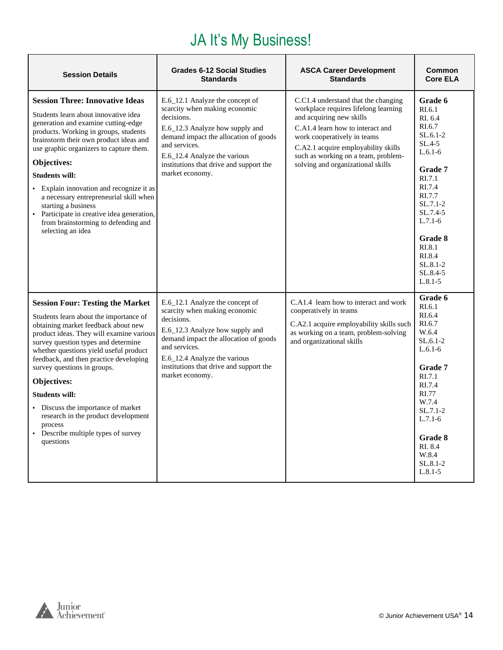#### JA It's My Business!

| <b>Session Details</b>                                                                                                                                                                                                                                                                                                                                                                                                                                                                                             | <b>Grades 6-12 Social Studies</b><br><b>Standards</b>                                                                                                                                                                                                                     | <b>ASCA Career Development</b><br><b>Standards</b>                                                                                                                                                                                                                                            | Common<br><b>Core ELA</b>                                                                                                                                                                             |
|--------------------------------------------------------------------------------------------------------------------------------------------------------------------------------------------------------------------------------------------------------------------------------------------------------------------------------------------------------------------------------------------------------------------------------------------------------------------------------------------------------------------|---------------------------------------------------------------------------------------------------------------------------------------------------------------------------------------------------------------------------------------------------------------------------|-----------------------------------------------------------------------------------------------------------------------------------------------------------------------------------------------------------------------------------------------------------------------------------------------|-------------------------------------------------------------------------------------------------------------------------------------------------------------------------------------------------------|
| <b>Session Three: Innovative Ideas</b><br>Students learn about innovative idea<br>generation and examine cutting-edge<br>products. Working in groups, students<br>brainstorm their own product ideas and<br>use graphic organizers to capture them.<br>Objectives:<br><b>Students will:</b><br>• Explain innovation and recognize it as<br>a necessary entrepreneurial skill when<br>starting a business<br>• Participate in creative idea generation,<br>from brainstorming to defending and<br>selecting an idea | E.6 12.1 Analyze the concept of<br>scarcity when making economic<br>decisions.<br>E.6_12.3 Analyze how supply and<br>demand impact the allocation of goods<br>and services.<br>E.6_12.4 Analyze the various<br>institutions that drive and support the<br>market economy. | C.C1.4 understand that the changing<br>workplace requires lifelong learning<br>and acquiring new skills<br>C.A1.4 learn how to interact and<br>work cooperatively in teams<br>C.A2.1 acquire employability skills<br>such as working on a team, problem-<br>solving and organizational skills | Grade 6<br>RI.6.1<br>RI. 6.4<br>RI.6.7<br>$SL.6.1-2$<br>$SL.4-5$<br>$L.6.1-6$<br><b>Grade 7</b><br>RI.7.1<br>RI.7.4<br>RI.7.7<br>$SL.7.1-2$<br>$SL.7.4-5$<br>$L.7.1-6$<br>Grade 8<br>RI.8.1<br>RI.8.4 |
|                                                                                                                                                                                                                                                                                                                                                                                                                                                                                                                    |                                                                                                                                                                                                                                                                           |                                                                                                                                                                                                                                                                                               | SL.8.1-2<br>SL.8.4-5<br>$L.8.1 - 5$                                                                                                                                                                   |
| <b>Session Four: Testing the Market</b><br>Students learn about the importance of<br>obtaining market feedback about new<br>product ideas. They will examine various<br>survey question types and determine<br>whether questions yield useful product<br>feedback, and then practice developing<br>survey questions in groups.<br>Objectives:<br><b>Students will:</b><br>Discuss the importance of market<br>research in the product development<br>process<br>Describe multiple types of survey<br>questions     | E.6_12.1 Analyze the concept of<br>scarcity when making economic<br>decisions.<br>E.6_12.3 Analyze how supply and<br>demand impact the allocation of goods<br>and services.<br>E.6_12.4 Analyze the various<br>institutions that drive and support the<br>market economy. | C.A1.4 learn how to interact and work<br>cooperatively in teams<br>C.A2.1 acquire employability skills such<br>as working on a team, problem-solving<br>and organizational skills                                                                                                             | Grade 6<br>RI.6.1<br>RI.6.4<br>RI.6.7<br>W.6.4<br>$SL.6.1-2$<br>$L.6.1-6$<br>Grade 7<br>RI.7.1<br>RI.7.4<br>RI.77<br>W.7.4<br>$SL.7.1-2$<br>$L.7.1-6$<br>Grade 8<br>RI 8.4<br>W.8.4                   |
|                                                                                                                                                                                                                                                                                                                                                                                                                                                                                                                    |                                                                                                                                                                                                                                                                           |                                                                                                                                                                                                                                                                                               | $SL.8.1 - 2$<br>$L.8.1 - 5$                                                                                                                                                                           |

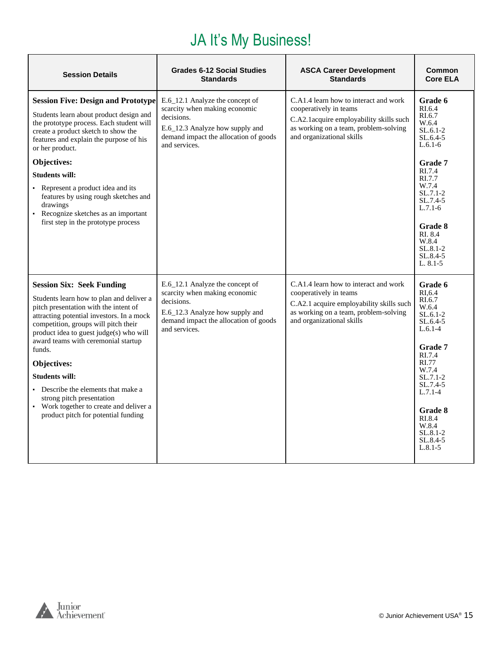#### JA It's My Business!

| <b>Session Details</b>                                                                                                                                                                                                                                             | <b>Grades 6-12 Social Studies</b><br><b>Standards</b>                                                                                                                       | <b>ASCA Career Development</b><br><b>Standards</b>                                                                                                                                | Common<br><b>Core ELA</b>                                                                |
|--------------------------------------------------------------------------------------------------------------------------------------------------------------------------------------------------------------------------------------------------------------------|-----------------------------------------------------------------------------------------------------------------------------------------------------------------------------|-----------------------------------------------------------------------------------------------------------------------------------------------------------------------------------|------------------------------------------------------------------------------------------|
| <b>Session Five: Design and Prototype</b><br>Students learn about product design and<br>the prototype process. Each student will<br>create a product sketch to show the<br>features and explain the purpose of his<br>or her product.<br>Objectives:               | E.6_12.1 Analyze the concept of<br>scarcity when making economic<br>decisions.<br>E.6_12.3 Analyze how supply and<br>demand impact the allocation of goods<br>and services. | C.A1.4 learn how to interact and work<br>cooperatively in teams<br>C.A2.1 acquire employability skills such<br>as working on a team, problem-solving<br>and organizational skills | Grade 6<br>RI.6.4<br>RI.6.7<br>W.6.4<br>$SL.6.1-2$<br>$SL.6.4-5$<br>$L.6.1-6$<br>Grade 7 |
| <b>Students will:</b>                                                                                                                                                                                                                                              |                                                                                                                                                                             |                                                                                                                                                                                   | RI.7.4<br>RI.7.7                                                                         |
| • Represent a product idea and its<br>features by using rough sketches and<br>drawings<br>Recognize sketches as an important                                                                                                                                       |                                                                                                                                                                             |                                                                                                                                                                                   | W.7.4<br>$SL.7.1-2$<br>$SL.7.4-5$<br>$L.7.1-6$                                           |
| first step in the prototype process                                                                                                                                                                                                                                |                                                                                                                                                                             |                                                                                                                                                                                   | <b>Grade 8</b><br>RI 8.4<br>W.8.4<br>$SL.8.1 - 2$<br>$SL.8.4-5$<br>$L. 8.1 - 5$          |
| <b>Session Six: Seek Funding</b>                                                                                                                                                                                                                                   | E.6 12.1 Analyze the concept of<br>scarcity when making economic                                                                                                            | C.A1.4 learn how to interact and work<br>cooperatively in teams                                                                                                                   | Grade 6<br>RI.6.4                                                                        |
| Students learn how to plan and deliver a<br>pitch presentation with the intent of<br>attracting potential investors. In a mock<br>competition, groups will pitch their<br>product idea to guest judge(s) who will<br>award teams with ceremonial startup<br>funds. | decisions.<br>E.6_12.3 Analyze how supply and<br>demand impact the allocation of goods<br>and services.                                                                     | C.A2.1 acquire employability skills such<br>as working on a team, problem-solving<br>and organizational skills                                                                    | RI.6.7<br>W.6.4<br>$SL.6.1-2$<br>$SL.6.4-5$<br>$L.6.1-4$<br><b>Grade</b> 7<br>RI.7.4     |
| Objectives:                                                                                                                                                                                                                                                        |                                                                                                                                                                             |                                                                                                                                                                                   | RI.77<br>W.7.4                                                                           |
| <b>Students will:</b><br>Describe the elements that make a<br>strong pitch presentation                                                                                                                                                                            |                                                                                                                                                                             |                                                                                                                                                                                   | $SL.7.1-2$<br>$SL.7.4-5$<br>$L.7.1 - 4$                                                  |
| • Work together to create and deliver a<br>product pitch for potential funding                                                                                                                                                                                     |                                                                                                                                                                             |                                                                                                                                                                                   | Grade 8<br>RI.8.4<br>W.8.4<br>$SL.8.1 - 2$<br>SL.8.4-5<br>$L.8.1 - 5$                    |

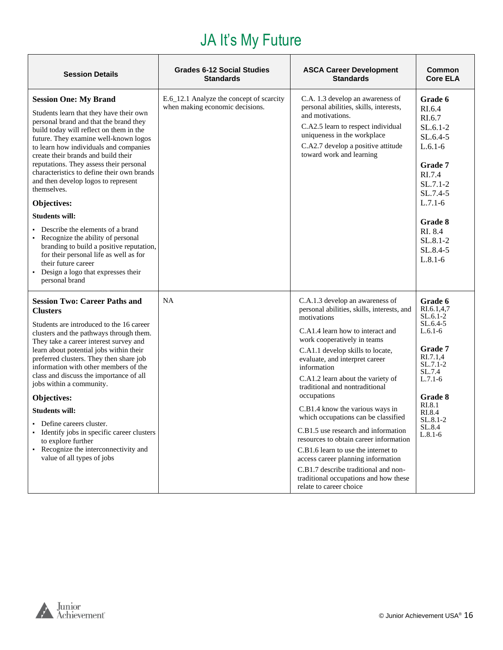#### JA It's My Future

| <b>Session Details</b>                                                                                                                                                                                                                                                                                                                                                                                                                                                        | <b>Grades 6-12 Social Studies</b><br><b>Standards</b>                       | <b>ASCA Career Development</b><br><b>Standards</b>                                                                                                                                                                                                                                                                                               | <b>Common</b><br><b>Core ELA</b>                                                                                                            |
|-------------------------------------------------------------------------------------------------------------------------------------------------------------------------------------------------------------------------------------------------------------------------------------------------------------------------------------------------------------------------------------------------------------------------------------------------------------------------------|-----------------------------------------------------------------------------|--------------------------------------------------------------------------------------------------------------------------------------------------------------------------------------------------------------------------------------------------------------------------------------------------------------------------------------------------|---------------------------------------------------------------------------------------------------------------------------------------------|
| <b>Session One: My Brand</b><br>Students learn that they have their own<br>personal brand and that the brand they<br>build today will reflect on them in the<br>future. They examine well-known logos<br>to learn how individuals and companies<br>create their brands and build their<br>reputations. They assess their personal<br>characteristics to define their own brands<br>and then develop logos to represent<br>themselves.<br>Objectives:<br><b>Students will:</b> | E.6_12.1 Analyze the concept of scarcity<br>when making economic decisions. | C.A. 1.3 develop an awareness of<br>personal abilities, skills, interests,<br>and motivations.<br>C.A2.5 learn to respect individual<br>uniqueness in the workplace<br>C.A2.7 develop a positive attitude<br>toward work and learning                                                                                                            | Grade 6<br>RI.6.4<br>RI.6.7<br>$SL.6.1-2$<br>$SL.6.4-5$<br>$L.6.1-6$<br>Grade 7<br>RI.7.4<br>$SL.7.1-2$<br>SL.7.4-5<br>$L.7.1-6$<br>Grade 8 |
| Describe the elements of a brand<br>Recognize the ability of personal<br>branding to build a positive reputation,<br>for their personal life as well as for<br>their future career<br>• Design a logo that expresses their<br>personal brand                                                                                                                                                                                                                                  |                                                                             |                                                                                                                                                                                                                                                                                                                                                  | RI. 8.4<br>SL.8.1-2<br>SL.8.4-5<br>$L.8.1-6$                                                                                                |
| <b>Session Two: Career Paths and</b><br><b>Clusters</b><br>Students are introduced to the 16 career<br>clusters and the pathways through them.<br>They take a career interest survey and<br>learn about potential jobs within their<br>preferred clusters. They then share job<br>information with other members of the<br>class and discuss the importance of all<br>jobs within a community.                                                                                | NA                                                                          | C.A.1.3 develop an awareness of<br>personal abilities, skills, interests, and<br>motivations<br>C.A1.4 learn how to interact and<br>work cooperatively in teams<br>C.A1.1 develop skills to locate,<br>evaluate, and interpret career<br>information<br>C.A1.2 learn about the variety of<br>traditional and nontraditional                      | Grade 6<br>RI.6.1,4,7<br>SL.6.1-2<br>$SL.6.4-5$<br>$L.6.1-6$<br>Grade 7<br>RI.7.1,4<br>$SL.7.1-2$<br>SL.7.4<br>$L.7.1-6$                    |
| Objectives:                                                                                                                                                                                                                                                                                                                                                                                                                                                                   |                                                                             | occupations                                                                                                                                                                                                                                                                                                                                      | <b>Grade 8</b><br>RI.8.1                                                                                                                    |
| <b>Students will:</b><br>Define careers cluster.<br>Identify jobs in specific career clusters<br>to explore further<br>• Recognize the interconnectivity and<br>value of all types of jobs                                                                                                                                                                                                                                                                                    |                                                                             | C.B1.4 know the various ways in<br>which occupations can be classified<br>C.B1.5 use research and information<br>resources to obtain career information<br>C.B1.6 learn to use the internet to<br>access career planning information<br>C.B1.7 describe traditional and non-<br>traditional occupations and how these<br>relate to career choice | RI.8.4<br>SL.8.1-2<br>SL.8.4<br>$L.8.1-6$                                                                                                   |

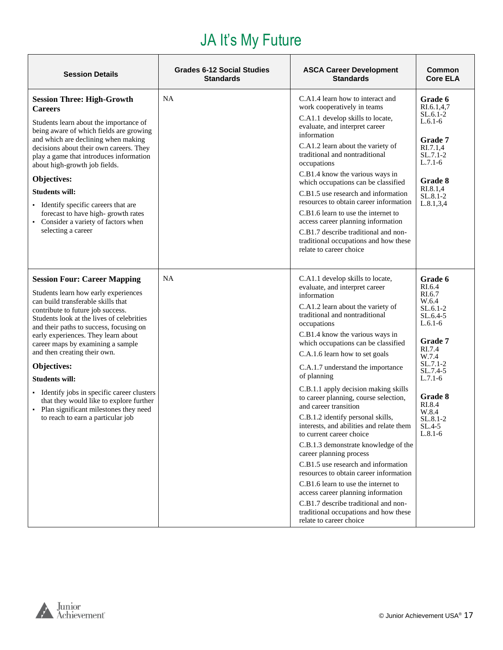# JA It's My Future

| <b>Session Details</b>                                                                                                                                                                                                                                                                                                                                                                                                                                                                                                                                                       | <b>Grades 6-12 Social Studies</b><br><b>Standards</b> | <b>ASCA Career Development</b><br><b>Standards</b>                                                                                                                                                                                                                                                                                                                                                                                                                                                                                                                                                                                | <b>Common</b><br><b>Core ELA</b>                                                                                                                                                                                       |
|------------------------------------------------------------------------------------------------------------------------------------------------------------------------------------------------------------------------------------------------------------------------------------------------------------------------------------------------------------------------------------------------------------------------------------------------------------------------------------------------------------------------------------------------------------------------------|-------------------------------------------------------|-----------------------------------------------------------------------------------------------------------------------------------------------------------------------------------------------------------------------------------------------------------------------------------------------------------------------------------------------------------------------------------------------------------------------------------------------------------------------------------------------------------------------------------------------------------------------------------------------------------------------------------|------------------------------------------------------------------------------------------------------------------------------------------------------------------------------------------------------------------------|
| <b>Session Three: High-Growth</b><br><b>Careers</b><br>Students learn about the importance of<br>being aware of which fields are growing<br>and which are declining when making<br>decisions about their own careers. They<br>play a game that introduces information<br>about high-growth job fields.<br>Objectives:<br><b>Students will:</b><br>• Identify specific careers that are<br>forecast to have high-growth rates<br>• Consider a variety of factors when<br>selecting a career                                                                                   | <b>NA</b>                                             | C.A1.4 learn how to interact and<br>work cooperatively in teams<br>C.A1.1 develop skills to locate,<br>evaluate, and interpret career<br>information<br>C.A1.2 learn about the variety of<br>traditional and nontraditional<br>occupations<br>C.B1.4 know the various ways in<br>which occupations can be classified<br>C.B1.5 use research and information<br>resources to obtain career information<br>C.B1.6 learn to use the internet to<br>access career planning information<br>C.B1.7 describe traditional and non-<br>traditional occupations and how these<br>relate to career choice                                    | Grade 6<br>RI.6.1,4,7<br>$SL.6.1-2$<br>$L.6.1-6$<br>Grade 7<br>RI.7.1,4<br>SL.7.1-2<br>$L.7.1-6$<br><b>Grade 8</b><br>RI.8.1,4<br>SL.8.1-2<br>L.8.1, 3, 4                                                              |
| <b>Session Four: Career Mapping</b><br>Students learn how early experiences<br>can build transferable skills that<br>contribute to future job success.<br>Students look at the lives of celebrities<br>and their paths to success, focusing on<br>early experiences. They learn about<br>career maps by examining a sample<br>and then creating their own.<br>Objectives:<br><b>Students will:</b><br>• Identify jobs in specific career clusters<br>that they would like to explore further<br>• Plan significant milestones they need<br>to reach to earn a particular job | <b>NA</b>                                             | C.A1.1 develop skills to locate,<br>evaluate, and interpret career<br>information<br>C.A1.2 learn about the variety of<br>traditional and nontraditional<br>occupations<br>C.B1.4 know the various ways in<br>which occupations can be classified<br>C.A.1.6 learn how to set goals<br>C.A.1.7 understand the importance<br>of planning<br>C.B.1.1 apply decision making skills<br>to career planning, course selection,<br>and career transition<br>C.B.1.2 identify personal skills,<br>interests, and abilities and relate them<br>to current career choice<br>C.B.1.3 demonstrate knowledge of the<br>career planning process | Grade 6<br>RI.6.4<br>RI.6.7<br>W.6.4<br>SL.6.1-2<br>SL.6.4-5<br>$L.6.1-6$<br>Grade 7<br>RI.7.4<br>W.7.4<br>SL.7.1-2<br>SL.7.4-5<br>$L.7.1-6$<br><b>Grade 8</b><br>RI.8.4<br>W.8.4<br>SL.8.1-2<br>$SL.4-5$<br>$L.8.1-6$ |
|                                                                                                                                                                                                                                                                                                                                                                                                                                                                                                                                                                              |                                                       | C.B1.5 use research and information<br>resources to obtain career information<br>C.B1.6 learn to use the internet to<br>access career planning information<br>C.B1.7 describe traditional and non-<br>traditional occupations and how these<br>relate to career choice                                                                                                                                                                                                                                                                                                                                                            |                                                                                                                                                                                                                        |

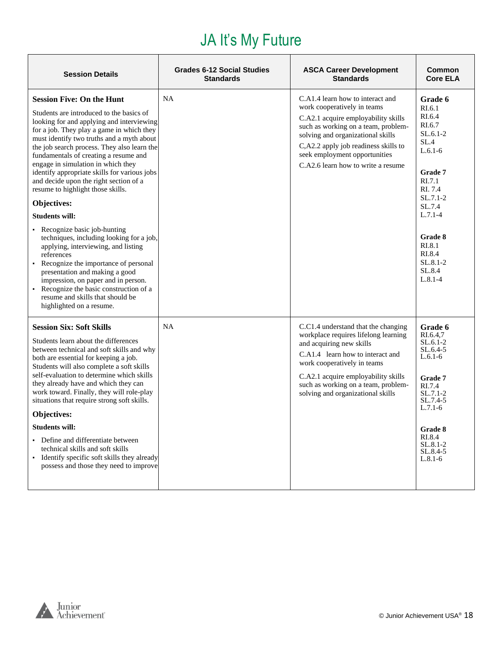#### JA It's My Future

| <b>Session Details</b>                                                                                                                                                                                                                                                                                                                                                                                                                                                                                                                                                                                                                                                                                                                                                                                                                                                                 | <b>Grades 6-12 Social Studies</b><br><b>Standards</b> | <b>ASCA Career Development</b><br><b>Standards</b>                                                                                                                                                                                                                                                | Common<br><b>Core ELA</b>                                                                                                                                                                                           |
|----------------------------------------------------------------------------------------------------------------------------------------------------------------------------------------------------------------------------------------------------------------------------------------------------------------------------------------------------------------------------------------------------------------------------------------------------------------------------------------------------------------------------------------------------------------------------------------------------------------------------------------------------------------------------------------------------------------------------------------------------------------------------------------------------------------------------------------------------------------------------------------|-------------------------------------------------------|---------------------------------------------------------------------------------------------------------------------------------------------------------------------------------------------------------------------------------------------------------------------------------------------------|---------------------------------------------------------------------------------------------------------------------------------------------------------------------------------------------------------------------|
| <b>Session Five: On the Hunt</b><br>Students are introduced to the basics of<br>looking for and applying and interviewing<br>for a job. They play a game in which they<br>must identify two truths and a myth about<br>the job search process. They also learn the<br>fundamentals of creating a resume and<br>engage in simulation in which they<br>identify appropriate skills for various jobs<br>and decide upon the right section of a<br>resume to highlight those skills.<br>Objectives:<br><b>Students will:</b><br>• Recognize basic job-hunting<br>techniques, including looking for a job,<br>applying, interviewing, and listing<br>references<br>• Recognize the importance of personal<br>presentation and making a good<br>impression, on paper and in person.<br>Recognize the basic construction of a<br>resume and skills that should be<br>highlighted on a resume. | NA                                                    | C.A1.4 learn how to interact and<br>work cooperatively in teams<br>C.A2.1 acquire employability skills<br>such as working on a team, problem-<br>solving and organizational skills<br>C,A2.2 apply job readiness skills to<br>seek employment opportunities<br>C.A2.6 learn how to write a resume | Grade 6<br>RI.6.1<br>RI.6.4<br>RI.6.7<br>$SL.6.1-2$<br>SL.4<br>$L.6.1-6$<br>Grade 7<br>RI.7.1<br>RI. 7.4<br>$SL.7.1-2$<br>SL.7.4<br>$L.7.1-4$<br>Grade 8<br>RI.8.1<br>RI.8.4<br>$SL.8.1-2$<br>SL.8.4<br>$L.8.1 - 4$ |
| <b>Session Six: Soft Skills</b><br>Students learn about the differences<br>between technical and soft skills and why<br>both are essential for keeping a job.<br>Students will also complete a soft skills<br>self-evaluation to determine which skills<br>they already have and which they can<br>work toward. Finally, they will role-play<br>situations that require strong soft skills.<br>Objectives:<br><b>Students will:</b><br>• Define and differentiate between<br>technical skills and soft skills<br>• Identify specific soft skills they already<br>possess and those they need to improve                                                                                                                                                                                                                                                                                | <b>NA</b>                                             | C.C.1.4 understand that the changing<br>workplace requires lifelong learning<br>and acquiring new skills<br>C.A1.4 learn how to interact and<br>work cooperatively in teams<br>C.A2.1 acquire employability skills<br>such as working on a team, problem-<br>solving and organizational skills    | <b>Grade 6</b><br>RI.6.4.7<br>SL.6.1-2<br>$SL.6.4-5$<br>$L.6.1-6$<br><b>Grade 7</b><br>RI.7.4<br>$SL.7.1-2$<br>$SL.7.4-5$<br>$L.7.1-6$<br><b>Grade 8</b><br>RI.8.4<br>$SL.8.1 - 2$<br>$SL.8.4-5$<br>$L.8.1-6$       |

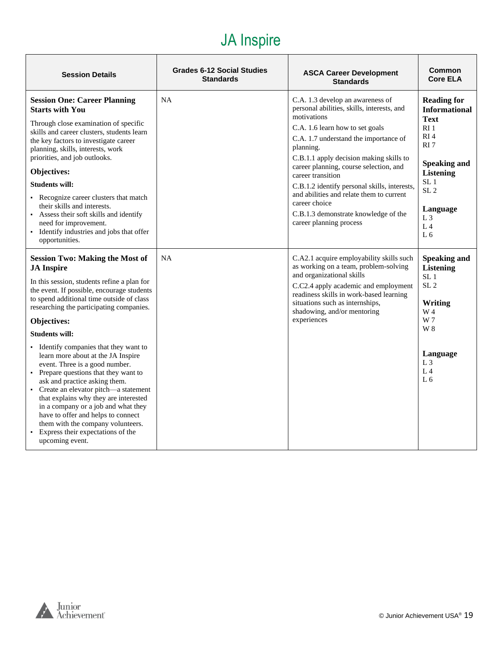#### JA Inspire

| <b>Session Details</b>                                                                                                                                                                                                                                                                                                                                                                                                                                                                                                                                                                                                                                                                                                                               | Grades 6-12 Social Studies<br><b>Standards</b> | <b>ASCA Career Development</b><br><b>Standards</b>                                                                                                                                                                                                                                                                                                                                                                                                                               | Common<br><b>Core ELA</b>                                                                                                                                                                                                                         |
|------------------------------------------------------------------------------------------------------------------------------------------------------------------------------------------------------------------------------------------------------------------------------------------------------------------------------------------------------------------------------------------------------------------------------------------------------------------------------------------------------------------------------------------------------------------------------------------------------------------------------------------------------------------------------------------------------------------------------------------------------|------------------------------------------------|----------------------------------------------------------------------------------------------------------------------------------------------------------------------------------------------------------------------------------------------------------------------------------------------------------------------------------------------------------------------------------------------------------------------------------------------------------------------------------|---------------------------------------------------------------------------------------------------------------------------------------------------------------------------------------------------------------------------------------------------|
| <b>Session One: Career Planning</b><br><b>Starts with You</b><br>Through close examination of specific<br>skills and career clusters, students learn<br>the key factors to investigate career<br>planning, skills, interests, work<br>priorities, and job outlooks.<br>Objectives:<br><b>Students will:</b><br>• Recognize career clusters that match<br>their skills and interests.<br>• Assess their soft skills and identify<br>need for improvement.<br>• Identify industries and jobs that offer<br>opportunities.                                                                                                                                                                                                                              | <b>NA</b>                                      | C.A. 1.3 develop an awareness of<br>personal abilities, skills, interests, and<br>motivations<br>C.A. 1.6 learn how to set goals<br>C.A. 1.7 understand the importance of<br>planning.<br>C.B.1.1 apply decision making skills to<br>career planning, course selection, and<br>career transition<br>C.B.1.2 identify personal skills, interests,<br>and abilities and relate them to current<br>career choice<br>C.B.1.3 demonstrate knowledge of the<br>career planning process | <b>Reading for</b><br><b>Informational</b><br><b>Text</b><br>RI <sub>1</sub><br>RI <sub>4</sub><br>RI 7<br><b>Speaking and</b><br><b>Listening</b><br>SL <sub>1</sub><br>SL <sub>2</sub><br>Language<br>$L_3$<br>L <sub>4</sub><br>L <sub>6</sub> |
| <b>Session Two: Making the Most of</b><br><b>JA</b> Inspire<br>In this session, students refine a plan for<br>the event. If possible, encourage students<br>to spend additional time outside of class<br>researching the participating companies.<br>Objectives:<br><b>Students will:</b><br>• Identify companies that they want to<br>learn more about at the JA Inspire<br>event. Three is a good number.<br>• Prepare questions that they want to<br>ask and practice asking them.<br>• Create an elevator pitch—a statement<br>that explains why they are interested<br>in a company or a job and what they<br>have to offer and helps to connect<br>them with the company volunteers.<br>• Express their expectations of the<br>upcoming event. | <b>NA</b>                                      | C.A2.1 acquire employability skills such<br>as working on a team, problem-solving<br>and organizational skills<br>C.C2.4 apply academic and employment<br>readiness skills in work-based learning<br>situations such as internships,<br>shadowing, and/or mentoring<br>experiences                                                                                                                                                                                               | <b>Speaking and</b><br><b>Listening</b><br>SL <sub>1</sub><br>SL <sub>2</sub><br>Writing<br>W 4<br>W 7<br>W 8<br>Language<br>L <sub>3</sub><br>L <sub>4</sub><br>L 6                                                                              |

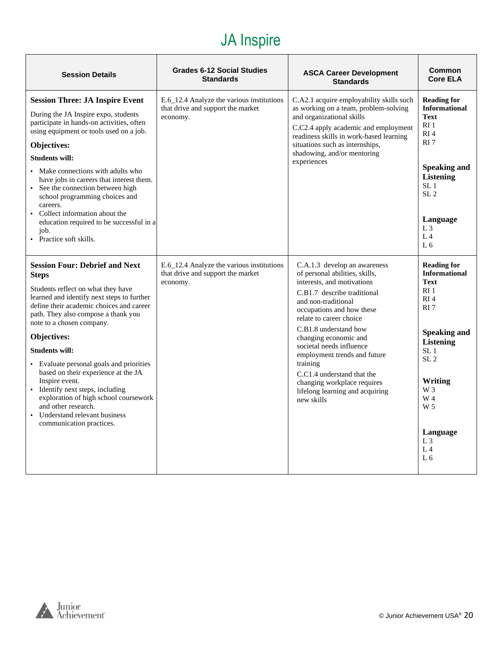#### JA Inspire

| <b>Session Details</b>                                                                                                                                                                                                                                                                                                                                                                                                                                                                                                                                                   | <b>Grades 6-12 Social Studies</b><br><b>Standards</b>                                      | <b>ASCA Career Development</b><br><b>Standards</b>                                                                                                                                                                                                                                                                                                                                                                                                 | <b>Common</b><br><b>Core ELA</b>                                                                                                                                                                                                                                                               |
|--------------------------------------------------------------------------------------------------------------------------------------------------------------------------------------------------------------------------------------------------------------------------------------------------------------------------------------------------------------------------------------------------------------------------------------------------------------------------------------------------------------------------------------------------------------------------|--------------------------------------------------------------------------------------------|----------------------------------------------------------------------------------------------------------------------------------------------------------------------------------------------------------------------------------------------------------------------------------------------------------------------------------------------------------------------------------------------------------------------------------------------------|------------------------------------------------------------------------------------------------------------------------------------------------------------------------------------------------------------------------------------------------------------------------------------------------|
| <b>Session Three: JA Inspire Event</b><br>During the JA Inspire expo, students<br>participate in hands-on activities, often<br>using equipment or tools used on a job.<br>Objectives:<br><b>Students will:</b><br>• Make connections with adults who<br>have jobs in careers that interest them.<br>• See the connection between high<br>school programming choices and<br>careers.<br>• Collect information about the<br>education required to be successful in a<br>job.<br>• Practice soft skills.                                                                    | E.6_12.4 Analyze the various institutions<br>that drive and support the market<br>economy. | C.A2.1 acquire employability skills such<br>as working on a team, problem-solving<br>and organizational skills<br>C.C2.4 apply academic and employment<br>readiness skills in work-based learning<br>situations such as internships,<br>shadowing, and/or mentoring<br>experiences                                                                                                                                                                 | <b>Reading for</b><br><b>Informational</b><br><b>Text</b><br>RI <sub>1</sub><br>RI <sub>4</sub><br>RI <sub>7</sub><br><b>Speaking and</b><br><b>Listening</b><br>SL <sub>1</sub><br>SL <sub>2</sub><br>Language<br>$L_3$<br>$L_4$<br>L <sub>6</sub>                                            |
| <b>Session Four: Debrief and Next</b><br><b>Steps</b><br>Students reflect on what they have<br>learned and identify next steps to further<br>define their academic choices and career<br>path. They also compose a thank you<br>note to a chosen company.<br>Objectives:<br><b>Students will:</b><br>• Evaluate personal goals and priorities<br>based on their experience at the JA<br>Inspire event.<br>• Identify next steps, including<br>exploration of high school coursework<br>and other research.<br>• Understand relevant business<br>communication practices. | E.6_12.4 Analyze the various institutions<br>that drive and support the market<br>economy. | C.A.1.3 develop an awareness<br>of personal abilities, skills,<br>interests, and motivations<br>C.B1.7 describe traditional<br>and non-traditional<br>occupations and how these<br>relate to career choice<br>C.B1.8 understand how<br>changing economic and<br>societal needs influence<br>employment trends and future<br>training<br>C.C1.4 understand that the<br>changing workplace requires<br>lifelong learning and acquiring<br>new skills | <b>Reading for</b><br><b>Informational</b><br><b>Text</b><br>RI <sub>1</sub><br>RI <sub>4</sub><br>RI <sub>7</sub><br><b>Speaking and</b><br><b>Listening</b><br>SL <sub>1</sub><br>SL <sub>2</sub><br>Writing<br>W 3<br>W 4<br>W <sub>5</sub><br>Language<br>$L_3$<br>$L_4$<br>L <sub>6</sub> |

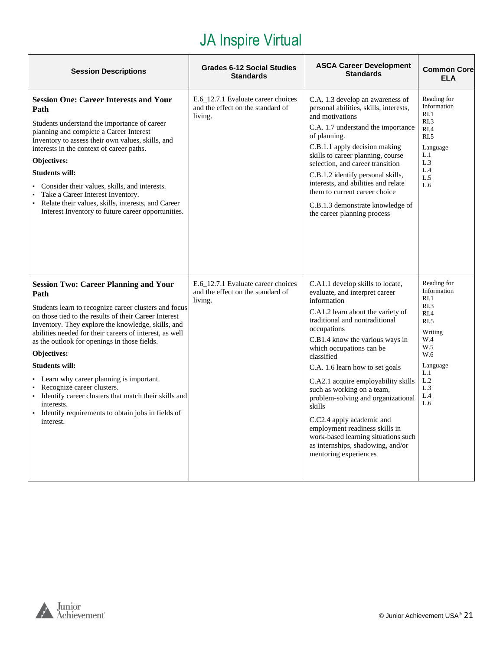| <b>Session Descriptions</b>                                                                                                                                                                                                                                                                                                                                                                                                                                                                                                                                                                                     | <b>Grades 6-12 Social Studies</b><br><b>Standards</b>                              | <b>ASCA Career Development</b><br><b>Standards</b>                                                                                                                                                                                                                                                                                                                                                                                                                                                                                                                               | <b>Common Core</b><br><b>ELA</b>                                                                                                                      |
|-----------------------------------------------------------------------------------------------------------------------------------------------------------------------------------------------------------------------------------------------------------------------------------------------------------------------------------------------------------------------------------------------------------------------------------------------------------------------------------------------------------------------------------------------------------------------------------------------------------------|------------------------------------------------------------------------------------|----------------------------------------------------------------------------------------------------------------------------------------------------------------------------------------------------------------------------------------------------------------------------------------------------------------------------------------------------------------------------------------------------------------------------------------------------------------------------------------------------------------------------------------------------------------------------------|-------------------------------------------------------------------------------------------------------------------------------------------------------|
| <b>Session One: Career Interests and Your</b><br>Path<br>Students understand the importance of career<br>planning and complete a Career Interest<br>Inventory to assess their own values, skills, and<br>interests in the context of career paths.<br>Objectives:<br><b>Students will:</b><br>Consider their values, skills, and interests.<br>Take a Career Interest Inventory.<br>Relate their values, skills, interests, and Career<br>Interest Inventory to future career opportunities.                                                                                                                    | E.6 12.7.1 Evaluate career choices<br>and the effect on the standard of<br>living. | C.A. 1.3 develop an awareness of<br>personal abilities, skills, interests,<br>and motivations<br>C.A. 1.7 understand the importance<br>of planning.<br>C.B.1.1 apply decision making<br>skills to career planning, course<br>selection, and career transition<br>C.B.1.2 identify personal skills,<br>interests, and abilities and relate<br>them to current career choice<br>C.B.1.3 demonstrate knowledge of<br>the career planning process                                                                                                                                    | Reading for<br>Information<br>RI.1<br>R <sub>L</sub> 3<br>R <sub>I.4</sub><br>R <sub>L</sub> 5<br>Language<br>L.1<br>L.3<br>L.4<br>L.5<br>L.6         |
| <b>Session Two: Career Planning and Your</b><br>Path<br>Students learn to recognize career clusters and focus<br>on those tied to the results of their Career Interest<br>Inventory. They explore the knowledge, skills, and<br>abilities needed for their careers of interest, as well<br>as the outlook for openings in those fields.<br>Objectives:<br><b>Students will:</b><br>Learn why career planning is important.<br>Recognize career clusters.<br>Identify career clusters that match their skills and<br>$\bullet$<br>interests.<br>· Identify requirements to obtain jobs in fields of<br>interest. | E.6_12.7.1 Evaluate career choices<br>and the effect on the standard of<br>living. | C.A1.1 develop skills to locate,<br>evaluate, and interpret career<br>information<br>C.A1.2 learn about the variety of<br>traditional and nontraditional<br>occupations<br>C.B1.4 know the various ways in<br>which occupations can be<br>classified<br>C.A. 1.6 learn how to set goals<br>C.A2.1 acquire employability skills<br>such as working on a team,<br>problem-solving and organizational<br>skills<br>C.C2.4 apply academic and<br>employment readiness skills in<br>work-based learning situations such<br>as internships, shadowing, and/or<br>mentoring experiences | Reading for<br>Information<br>RI.1<br>RI.3<br>R <sub>I.4</sub><br>RI.5<br>Writing<br>W.4<br>W.5<br>W.6<br>Language<br>L.1<br>L.2<br>L.3<br>L.4<br>L.6 |

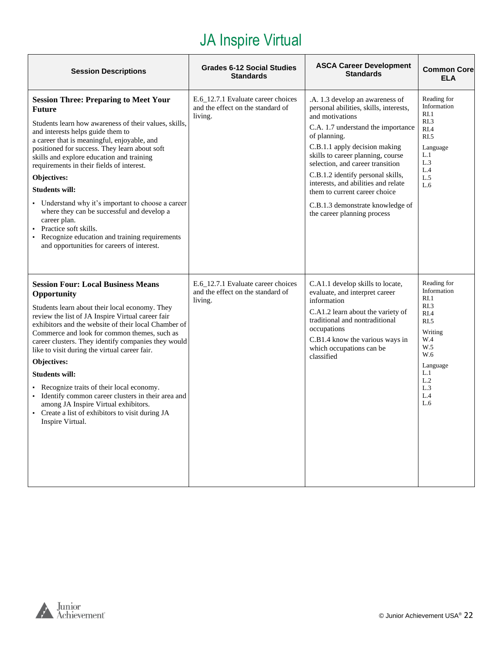| <b>Session Descriptions</b>                                                                                                                                                                                                                                                                                                                                                                                                                                                                                                                                                                                                                  | <b>Grades 6-12 Social Studies</b><br><b>Standards</b>                              | <b>ASCA Career Development</b><br><b>Standards</b>                                                                                                                                                                                                                                                                                                                                                                                           | <b>Common Core</b><br><b>ELA</b>                                                                                                          |
|----------------------------------------------------------------------------------------------------------------------------------------------------------------------------------------------------------------------------------------------------------------------------------------------------------------------------------------------------------------------------------------------------------------------------------------------------------------------------------------------------------------------------------------------------------------------------------------------------------------------------------------------|------------------------------------------------------------------------------------|----------------------------------------------------------------------------------------------------------------------------------------------------------------------------------------------------------------------------------------------------------------------------------------------------------------------------------------------------------------------------------------------------------------------------------------------|-------------------------------------------------------------------------------------------------------------------------------------------|
| <b>Session Three: Preparing to Meet Your</b><br><b>Future</b><br>Students learn how awareness of their values, skills,<br>and interests helps guide them to<br>a career that is meaningful, enjoyable, and<br>positioned for success. They learn about soft<br>skills and explore education and training<br>requirements in their fields of interest.<br>Objectives:<br><b>Students will:</b><br>• Understand why it's important to choose a career<br>where they can be successful and develop a<br>career plan.<br>Practice soft skills.<br>Recognize education and training requirements<br>and opportunities for careers of interest.    | E.6_12.7.1 Evaluate career choices<br>and the effect on the standard of<br>living. | .A. 1.3 develop an awareness of<br>personal abilities, skills, interests,<br>and motivations<br>C.A. 1.7 understand the importance<br>of planning.<br>C.B.1.1 apply decision making<br>skills to career planning, course<br>selection, and career transition<br>C.B.1.2 identify personal skills,<br>interests, and abilities and relate<br>them to current career choice<br>C.B.1.3 demonstrate knowledge of<br>the career planning process | Reading for<br>Information<br>RI.1<br>RI.3<br>RI.4<br>RI.5<br>Language<br>L.1<br>L.3<br>L.4<br>L.5<br>L.6                                 |
| <b>Session Four: Local Business Means</b><br>Opportunity<br>Students learn about their local economy. They<br>review the list of JA Inspire Virtual career fair<br>exhibitors and the website of their local Chamber of<br>Commerce and look for common themes, such as<br>career clusters. They identify companies they would<br>like to visit during the virtual career fair.<br>Objectives:<br><b>Students will:</b><br>• Recognize traits of their local economy.<br>• Identify common career clusters in their area and<br>among JA Inspire Virtual exhibitors.<br>• Create a list of exhibitors to visit during JA<br>Inspire Virtual. | E.6_12.7.1 Evaluate career choices<br>and the effect on the standard of<br>living. | C.A1.1 develop skills to locate,<br>evaluate, and interpret career<br>information<br>C.A1.2 learn about the variety of<br>traditional and nontraditional<br>occupations<br>C.B1.4 know the various ways in<br>which occupations can be<br>classified                                                                                                                                                                                         | Reading for<br>Information<br>RI.1<br>RI.3<br>RI.4<br>RI.5<br>Writing<br>W.4<br>W.5<br>W.6<br>Language<br>L.1<br>L.2<br>L.3<br>L.4<br>L.6 |

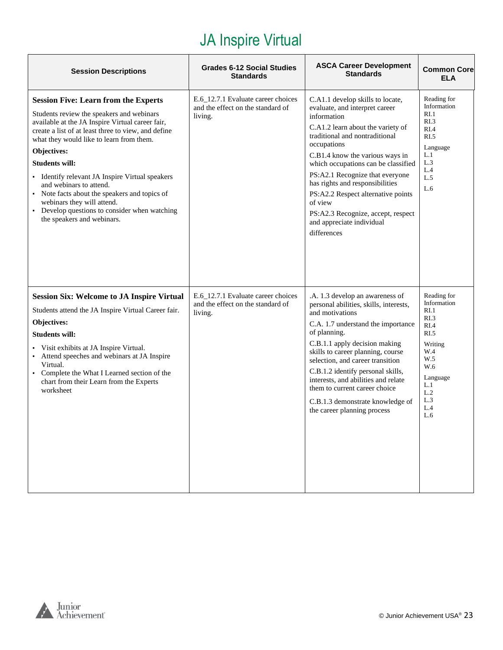| <b>Session Descriptions</b>                                                                                                                                                                                                                                                                                                                                                                                                                                                                                                         | <b>Grades 6-12 Social Studies</b><br><b>Standards</b>                              | <b>ASCA Career Development</b><br><b>Standards</b>                                                                                                                                                                                                                                                                                                                                                                                                         | <b>Common Core</b><br><b>ELA</b>                                                                                                          |
|-------------------------------------------------------------------------------------------------------------------------------------------------------------------------------------------------------------------------------------------------------------------------------------------------------------------------------------------------------------------------------------------------------------------------------------------------------------------------------------------------------------------------------------|------------------------------------------------------------------------------------|------------------------------------------------------------------------------------------------------------------------------------------------------------------------------------------------------------------------------------------------------------------------------------------------------------------------------------------------------------------------------------------------------------------------------------------------------------|-------------------------------------------------------------------------------------------------------------------------------------------|
| <b>Session Five: Learn from the Experts</b><br>Students review the speakers and webinars<br>available at the JA Inspire Virtual career fair,<br>create a list of at least three to view, and define<br>what they would like to learn from them.<br>Objectives:<br><b>Students will:</b><br>• Identify relevant JA Inspire Virtual speakers<br>and webinars to attend.<br>• Note facts about the speakers and topics of<br>webinars they will attend.<br>• Develop questions to consider when watching<br>the speakers and webinars. | E.6_12.7.1 Evaluate career choices<br>and the effect on the standard of<br>living. | C.A1.1 develop skills to locate,<br>evaluate, and interpret career<br>information<br>C.A1.2 learn about the variety of<br>traditional and nontraditional<br>occupations<br>C.B1.4 know the various ways in<br>which occupations can be classified<br>PS:A2.1 Recognize that everyone<br>has rights and responsibilities<br>PS:A2.2 Respect alternative points<br>of view<br>PS:A2.3 Recognize, accept, respect<br>and appreciate individual<br>differences | Reading for<br>Information<br>RI.1<br>RI.3<br>RI.4<br>RI.5<br>Language<br>L.1<br>L.3<br>L.4<br>L.5<br>L.6                                 |
| <b>Session Six: Welcome to JA Inspire Virtual</b><br>Students attend the JA Inspire Virtual Career fair.<br>Objectives:<br><b>Students will:</b><br>• Visit exhibits at JA Inspire Virtual.<br>• Attend speeches and webinars at JA Inspire<br>Virtual.<br>• Complete the What I Learned section of the<br>chart from their Learn from the Experts<br>worksheet                                                                                                                                                                     | E.6_12.7.1 Evaluate career choices<br>and the effect on the standard of<br>living. | .A. 1.3 develop an awareness of<br>personal abilities, skills, interests,<br>and motivations<br>C.A. 1.7 understand the importance<br>of planning.<br>C.B.1.1 apply decision making<br>skills to career planning, course<br>selection, and career transition<br>C.B.1.2 identify personal skills,<br>interests, and abilities and relate<br>them to current career choice<br>C.B.1.3 demonstrate knowledge of<br>the career planning process               | Reading for<br>Information<br>RI.1<br>RI.3<br>RI.4<br>RI.5<br>Writing<br>W.4<br>W.5<br>W.6<br>Language<br>L.1<br>L.2<br>L.3<br>L.4<br>L.6 |

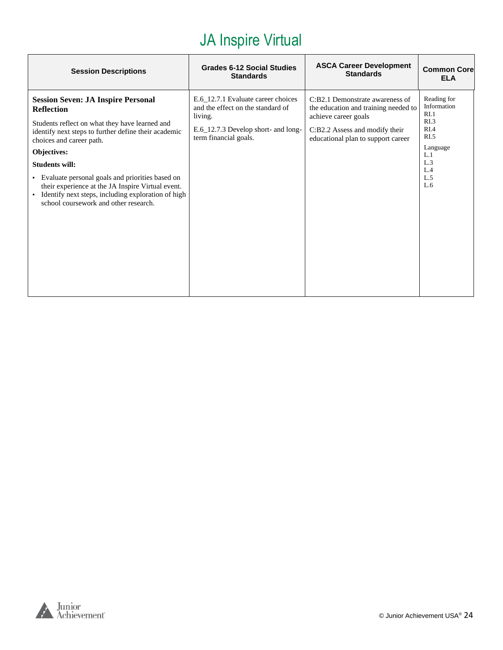| <b>Session Descriptions</b>                                                                                                                                                                                                                                                                                                                                                                                                                           | <b>Grades 6-12 Social Studies</b><br><b>Standards</b>                                                                                              | <b>ASCA Career Development</b><br><b>Standards</b>                                                                                                                      | <b>Common Corel</b><br><b>ELA</b>                                                                                                           |
|-------------------------------------------------------------------------------------------------------------------------------------------------------------------------------------------------------------------------------------------------------------------------------------------------------------------------------------------------------------------------------------------------------------------------------------------------------|----------------------------------------------------------------------------------------------------------------------------------------------------|-------------------------------------------------------------------------------------------------------------------------------------------------------------------------|---------------------------------------------------------------------------------------------------------------------------------------------|
| <b>Session Seven: JA Inspire Personal</b><br><b>Reflection</b><br>Students reflect on what they have learned and<br>identify next steps to further define their academic<br>choices and career path.<br>Objectives:<br><b>Students will:</b><br>• Evaluate personal goals and priorities based on<br>their experience at the JA Inspire Virtual event.<br>Identify next steps, including exploration of high<br>school coursework and other research. | E.6_12.7.1 Evaluate career choices<br>and the effect on the standard of<br>living.<br>E.6_12.7.3 Develop short- and long-<br>term financial goals. | C:B2.1 Demonstrate awareness of<br>the education and training needed to<br>achieve career goals<br>C:B2.2 Assess and modify their<br>educational plan to support career | Reading for<br>Information<br>RI.1<br>R <sub>L.3</sub><br>R <sub>I.4</sub><br>R <sub>L</sub><br>Language<br>L.1<br>L.3<br>L.4<br>L.5<br>L.6 |
|                                                                                                                                                                                                                                                                                                                                                                                                                                                       |                                                                                                                                                    |                                                                                                                                                                         |                                                                                                                                             |

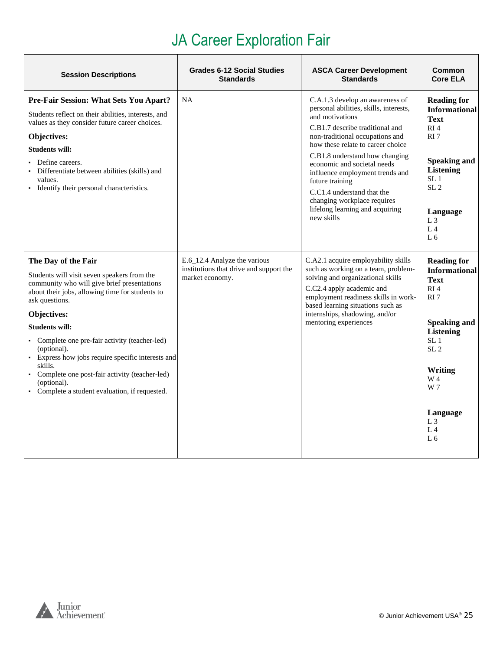# JA Career Exploration Fair

<span id="page-24-0"></span>

| <b>Session Descriptions</b>                                                                                                                                                                                                                                                                                                                                                                                                                                                         | <b>Grades 6-12 Social Studies</b><br><b>Standards</b>                                      | <b>ASCA Career Development</b><br><b>Standards</b>                                                                                                                                                                                                                                                                                                                                                                                           | Common<br><b>Core ELA</b>                                                                                                                                                                                                                                                   |
|-------------------------------------------------------------------------------------------------------------------------------------------------------------------------------------------------------------------------------------------------------------------------------------------------------------------------------------------------------------------------------------------------------------------------------------------------------------------------------------|--------------------------------------------------------------------------------------------|----------------------------------------------------------------------------------------------------------------------------------------------------------------------------------------------------------------------------------------------------------------------------------------------------------------------------------------------------------------------------------------------------------------------------------------------|-----------------------------------------------------------------------------------------------------------------------------------------------------------------------------------------------------------------------------------------------------------------------------|
| Pre-Fair Session: What Sets You Apart?<br>Students reflect on their abilities, interests, and<br>values as they consider future career choices.<br>Objectives:<br><b>Students will:</b><br>• Define careers.<br>• Differentiate between abilities (skills) and<br>values.<br>• Identify their personal characteristics.                                                                                                                                                             | <b>NA</b>                                                                                  | C.A.1.3 develop an awareness of<br>personal abilities, skills, interests,<br>and motivations<br>C.B1.7 describe traditional and<br>non-traditional occupations and<br>how these relate to career choice<br>C.B1.8 understand how changing<br>economic and societal needs<br>influence employment trends and<br>future training<br>C.C1.4 understand that the<br>changing workplace requires<br>lifelong learning and acquiring<br>new skills | <b>Reading for</b><br><b>Informational</b><br><b>Text</b><br>RI <sub>4</sub><br>RI <sub>7</sub><br><b>Speaking and</b><br><b>Listening</b><br>SL <sub>1</sub><br>SL <sub>2</sub><br>Language<br>L <sub>3</sub><br>L <sub>4</sub><br>L <sub>6</sub>                          |
| The Day of the Fair<br>Students will visit seven speakers from the<br>community who will give brief presentations<br>about their jobs, allowing time for students to<br>ask questions.<br>Objectives:<br><b>Students will:</b><br>• Complete one pre-fair activity (teacher-led)<br>(optional).<br>• Express how jobs require specific interests and<br>skills.<br>• Complete one post-fair activity (teacher-led)<br>(optional).<br>• Complete a student evaluation, if requested. | E.6_12.4 Analyze the various<br>institutions that drive and support the<br>market economy. | C.A2.1 acquire employability skills<br>such as working on a team, problem-<br>solving and organizational skills<br>C.C2.4 apply academic and<br>employment readiness skills in work-<br>based learning situations such as<br>internships, shadowing, and/or<br>mentoring experiences                                                                                                                                                         | <b>Reading for</b><br><b>Informational</b><br><b>Text</b><br>RI <sub>4</sub><br>RI <sub>7</sub><br><b>Speaking and</b><br><b>Listening</b><br>SL <sub>1</sub><br>SL <sub>2</sub><br>Writing<br>W 4<br>W 7<br>Language<br>L <sub>3</sub><br>L <sub>4</sub><br>L <sub>6</sub> |

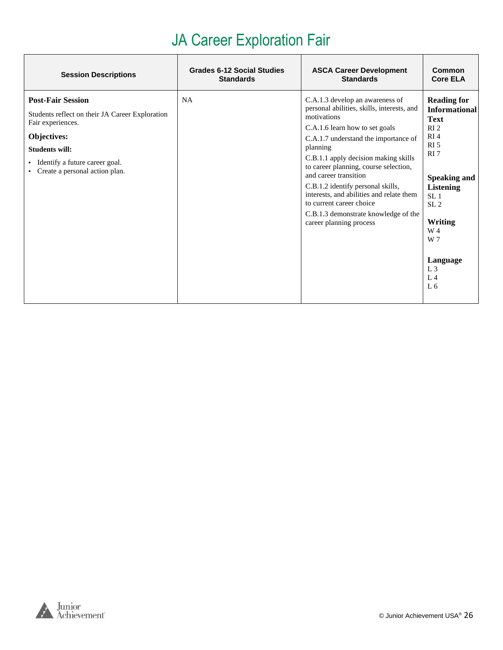# JA Career Exploration Fair

| <b>Session Descriptions</b>                                                                                                                                                                                  | <b>Grades 6-12 Social Studies</b> | <b>ASCA Career Development</b>                                                                                                                                                                                                                                                                                                                                                                                                                                               | <b>Common</b>                                                                                                                                                                                                                                                                                                   |
|--------------------------------------------------------------------------------------------------------------------------------------------------------------------------------------------------------------|-----------------------------------|------------------------------------------------------------------------------------------------------------------------------------------------------------------------------------------------------------------------------------------------------------------------------------------------------------------------------------------------------------------------------------------------------------------------------------------------------------------------------|-----------------------------------------------------------------------------------------------------------------------------------------------------------------------------------------------------------------------------------------------------------------------------------------------------------------|
|                                                                                                                                                                                                              | <b>Standards</b>                  | <b>Standards</b>                                                                                                                                                                                                                                                                                                                                                                                                                                                             | <b>Core ELA</b>                                                                                                                                                                                                                                                                                                 |
| <b>Post-Fair Session</b><br>Students reflect on their JA Career Exploration<br>Fair experiences.<br>Objectives:<br><b>Students will:</b><br>Identify a future career goal.<br>Create a personal action plan. | <b>NA</b>                         | C.A.1.3 develop an awareness of<br>personal abilities, skills, interests, and<br>motivations<br>C.A.1.6 learn how to set goals<br>C.A.1.7 understand the importance of<br>planning<br>C.B.1.1 apply decision making skills<br>to career planning, course selection,<br>and career transition<br>C.B.1.2 identify personal skills,<br>interests, and abilities and relate them<br>to current career choice<br>C.B.1.3 demonstrate knowledge of the<br>career planning process | <b>Reading for</b><br><b>Informational</b><br><b>Text</b><br>RI <sub>2</sub><br>RI <sub>4</sub><br>RI <sub>5</sub><br>RI <sub>7</sub><br><b>Speaking and</b><br><b>Listening</b><br>SL <sub>1</sub><br>SL <sub>2</sub><br><b>Writing</b><br>W 4<br>W 7<br>Language<br>L <sub>3</sub><br>$L_4$<br>L <sub>6</sub> |

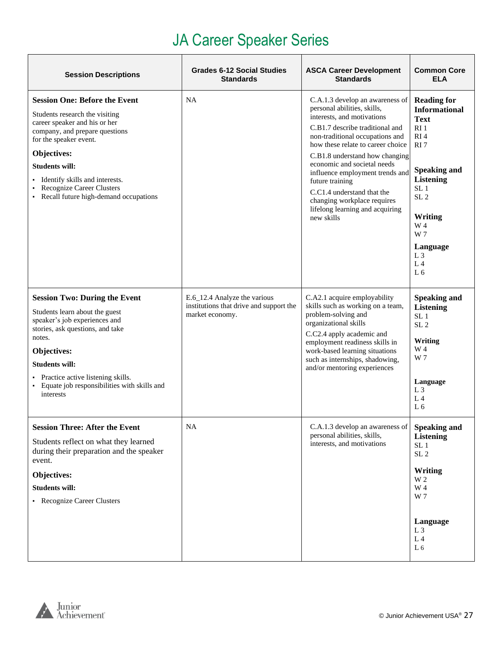# JA Career Speaker Series

| <b>Session Descriptions</b>                                                                                                                                                                                                                                                                                                    | <b>Grades 6-12 Social Studies</b><br><b>Standards</b>                                      | <b>ASCA Career Development</b><br><b>Standards</b>                                                                                                                                                                                                                                                                                                                                                                                           | <b>Common Core</b><br><b>ELA</b>                                                                                                                                                                                                                                                      |
|--------------------------------------------------------------------------------------------------------------------------------------------------------------------------------------------------------------------------------------------------------------------------------------------------------------------------------|--------------------------------------------------------------------------------------------|----------------------------------------------------------------------------------------------------------------------------------------------------------------------------------------------------------------------------------------------------------------------------------------------------------------------------------------------------------------------------------------------------------------------------------------------|---------------------------------------------------------------------------------------------------------------------------------------------------------------------------------------------------------------------------------------------------------------------------------------|
| <b>Session One: Before the Event</b><br>Students research the visiting<br>career speaker and his or her<br>company, and prepare questions<br>for the speaker event.<br>Objectives:<br><b>Students will:</b><br>· Identify skills and interests.<br><b>Recognize Career Clusters</b><br>• Recall future high-demand occupations | <b>NA</b>                                                                                  | C.A.1.3 develop an awareness of<br>personal abilities, skills,<br>interests, and motivations<br>C.B1.7 describe traditional and<br>non-traditional occupations and<br>how these relate to career choice<br>C.B1.8 understand how changing<br>economic and societal needs<br>influence employment trends and<br>future training<br>C.C1.4 understand that the<br>changing workplace requires<br>lifelong learning and acquiring<br>new skills | <b>Reading for</b><br><b>Informational</b><br><b>Text</b><br>RI <sub>1</sub><br>RI <sub>4</sub><br>RI <sub>7</sub><br><b>Speaking and</b><br><b>Listening</b><br>SL <sub>1</sub><br>SL <sub>2</sub><br>Writing<br>W 4<br>W 7<br>Language<br>$L_3$<br>L <sub>4</sub><br>L <sub>6</sub> |
| <b>Session Two: During the Event</b><br>Students learn about the guest<br>speaker's job experiences and<br>stories, ask questions, and take<br>notes.<br>Objectives:<br><b>Students will:</b><br>• Practice active listening skills.<br>• Equate job responsibilities with skills and<br>interests                             | E.6_12.4 Analyze the various<br>institutions that drive and support the<br>market economy. | C.A2.1 acquire employability<br>skills such as working on a team,<br>problem-solving and<br>organizational skills<br>C.C2.4 apply academic and<br>employment readiness skills in<br>work-based learning situations<br>such as internships, shadowing,<br>and/or mentoring experiences                                                                                                                                                        | <b>Speaking and</b><br><b>Listening</b><br>SL <sub>1</sub><br>SL <sub>2</sub><br>Writing<br>W 4<br>W 7<br>Language<br>L <sub>3</sub><br>L <sub>4</sub><br>L <sub>6</sub>                                                                                                              |
| <b>Session Three: After the Event</b><br>Students reflect on what they learned<br>during their preparation and the speaker<br>event.<br>Objectives:<br><b>Students will:</b><br>• Recognize Career Clusters                                                                                                                    | <b>NA</b>                                                                                  | C.A.1.3 develop an awareness of<br>personal abilities, skills,<br>interests, and motivations                                                                                                                                                                                                                                                                                                                                                 | <b>Speaking and</b><br><b>Listening</b><br>SL <sub>1</sub><br>$\rm SL~2$<br>Writing<br>W 2<br>W 4<br>W 7<br>Language<br>L <sub>3</sub><br>L <sub>4</sub><br>L <sub>6</sub>                                                                                                            |

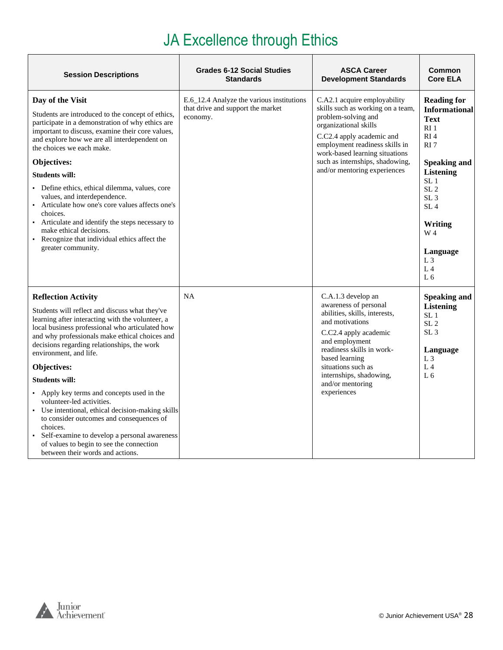# JA Excellence through Ethics

| <b>Session Descriptions</b>                                                                                                                                                                                                                                                                                                                                                                                                                                                                                                                                                                                                                                                | <b>Grades 6-12 Social Studies</b><br><b>Standards</b>                                      | <b>ASCA Career</b><br><b>Development Standards</b>                                                                                                                                                                                                                                    | Common<br><b>Core ELA</b>                                                                                                                                                                                                                                                                                                     |
|----------------------------------------------------------------------------------------------------------------------------------------------------------------------------------------------------------------------------------------------------------------------------------------------------------------------------------------------------------------------------------------------------------------------------------------------------------------------------------------------------------------------------------------------------------------------------------------------------------------------------------------------------------------------------|--------------------------------------------------------------------------------------------|---------------------------------------------------------------------------------------------------------------------------------------------------------------------------------------------------------------------------------------------------------------------------------------|-------------------------------------------------------------------------------------------------------------------------------------------------------------------------------------------------------------------------------------------------------------------------------------------------------------------------------|
| Day of the Visit<br>Students are introduced to the concept of ethics,<br>participate in a demonstration of why ethics are<br>important to discuss, examine their core values,<br>and explore how we are all interdependent on<br>the choices we each make.<br><b>Objectives:</b><br><b>Students will:</b><br>Define ethics, ethical dilemma, values, core<br>values, and interdependence.<br>Articulate how one's core values affects one's<br>$\blacksquare$<br>choices.<br>Articulate and identify the steps necessary to<br>make ethical decisions.<br>Recognize that individual ethics affect the<br>greater community.                                                | E.6_12.4 Analyze the various institutions<br>that drive and support the market<br>economy. | C.A2.1 acquire employability<br>skills such as working on a team,<br>problem-solving and<br>organizational skills<br>C.C2.4 apply academic and<br>employment readiness skills in<br>work-based learning situations<br>such as internships, shadowing,<br>and/or mentoring experiences | <b>Reading for</b><br><b>Informational</b><br><b>Text</b><br>RI <sub>1</sub><br>RI <sub>4</sub><br>RI <sub>7</sub><br><b>Speaking and</b><br><b>Listening</b><br>SL <sub>1</sub><br>SL <sub>2</sub><br>SL <sub>3</sub><br>SL <sub>4</sub><br>Writing<br>W 4<br>Language<br>L <sub>3</sub><br>L <sub>4</sub><br>L <sub>6</sub> |
| <b>Reflection Activity</b><br>Students will reflect and discuss what they've<br>learning after interacting with the volunteer, a<br>local business professional who articulated how<br>and why professionals make ethical choices and<br>decisions regarding relationships, the work<br>environment, and life.<br>Objectives:<br><b>Students will:</b><br>Apply key terms and concepts used in the<br>volunteer-led activities.<br>Use intentional, ethical decision-making skills<br>to consider outcomes and consequences of<br>choices.<br>Self-examine to develop a personal awareness<br>of values to begin to see the connection<br>between their words and actions. | <b>NA</b>                                                                                  | C.A.1.3 develop an<br>awareness of personal<br>abilities, skills, interests,<br>and motivations<br>C.C2.4 apply academic<br>and employment<br>readiness skills in work-<br>based learning<br>situations such as<br>internships, shadowing,<br>and/or mentoring<br>experiences         | <b>Speaking and</b><br><b>Listening</b><br>SL <sub>1</sub><br>SL <sub>2</sub><br>SL <sub>3</sub><br>Language<br>L <sub>3</sub><br>L <sub>4</sub><br>L <sub>6</sub>                                                                                                                                                            |

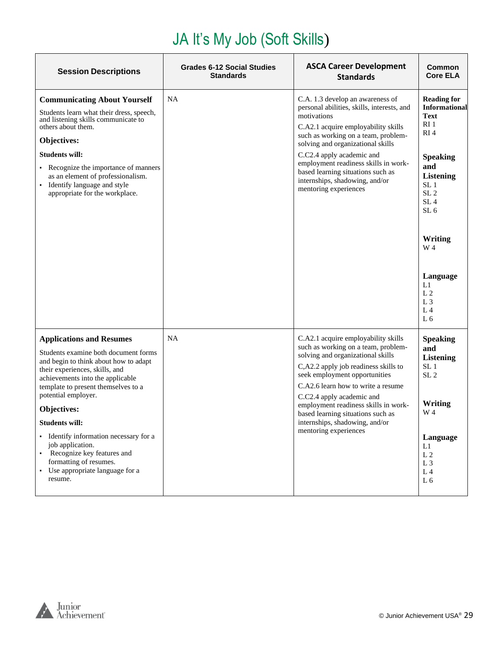# JA It's My Job (Soft Skills)

<span id="page-28-0"></span>

| <b>Session Descriptions</b>                                                                                                                                                                                                                                                                                                                                                                                                                                         | <b>Grades 6-12 Social Studies</b><br><b>Standards</b> | <b>ASCA Career Development</b><br><b>Standards</b>                                                                                                                                                                                                                                                                                                                                                  | Common<br><b>Core ELA</b>                                                                                                                                                                                                                                                                         |
|---------------------------------------------------------------------------------------------------------------------------------------------------------------------------------------------------------------------------------------------------------------------------------------------------------------------------------------------------------------------------------------------------------------------------------------------------------------------|-------------------------------------------------------|-----------------------------------------------------------------------------------------------------------------------------------------------------------------------------------------------------------------------------------------------------------------------------------------------------------------------------------------------------------------------------------------------------|---------------------------------------------------------------------------------------------------------------------------------------------------------------------------------------------------------------------------------------------------------------------------------------------------|
| <b>Communicating About Yourself</b><br>Students learn what their dress, speech,<br>and listening skills communicate to<br>others about them.<br>Objectives:<br><b>Students will:</b><br>• Recognize the importance of manners<br>as an element of professionalism.<br>· Identify language and style<br>appropriate for the workplace.                                                                                                                               | <b>NA</b>                                             | C.A. 1.3 develop an awareness of<br>personal abilities, skills, interests, and<br>motivations<br>C.A2.1 acquire employability skills<br>such as working on a team, problem-<br>solving and organizational skills<br>C.C2.4 apply academic and<br>employment readiness skills in work-<br>based learning situations such as<br>internships, shadowing, and/or<br>mentoring experiences               | <b>Reading for</b><br><b>Informational</b><br><b>Text</b><br>RI <sub>1</sub><br>RI <sub>4</sub><br><b>Speaking</b><br>and<br><b>Listening</b><br>SL <sub>1</sub><br>SL <sub>2</sub><br>SL <sub>4</sub><br>SL <sub>6</sub><br>Writing<br>W 4<br>Language<br>L1<br>L <sub>2</sub><br>L <sub>3</sub> |
|                                                                                                                                                                                                                                                                                                                                                                                                                                                                     |                                                       |                                                                                                                                                                                                                                                                                                                                                                                                     | L <sub>4</sub><br>L <sub>6</sub>                                                                                                                                                                                                                                                                  |
| <b>Applications and Resumes</b><br>Students examine both document forms<br>and begin to think about how to adapt<br>their experiences, skills, and<br>achievements into the applicable<br>template to present themselves to a<br>potential employer.<br>Objectives:<br><b>Students will:</b><br>• Identify information necessary for a<br>job application.<br>• Recognize key features and<br>formatting of resumes.<br>• Use appropriate language for a<br>resume. | <b>NA</b>                                             | C.A2.1 acquire employability skills<br>such as working on a team, problem-<br>solving and organizational skills<br>C,A2.2 apply job readiness skills to<br>seek employment opportunities<br>C.A2.6 learn how to write a resume<br>C.C2.4 apply academic and<br>employment readiness skills in work-<br>based learning situations such as<br>internships, shadowing, and/or<br>mentoring experiences | <b>Speaking</b><br>and<br><b>Listening</b><br>SL <sub>1</sub><br>SL <sub>2</sub><br>Writing<br>W 4<br>Language<br>L1<br>L <sub>2</sub><br>L <sub>3</sub><br>L <sub>4</sub><br>L <sub>6</sub>                                                                                                      |

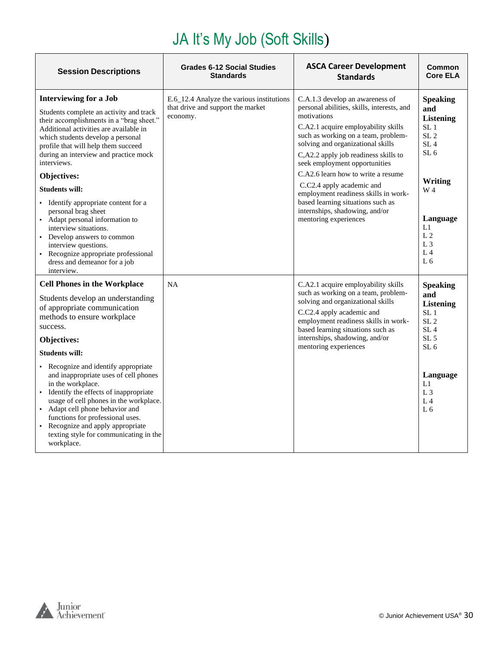# JA It's My Job (Soft Skills)

| <b>Session Descriptions</b>                                                                                                                                                                                                                                                                                                                                                        | <b>Grades 6-12 Social Studies</b><br><b>Standards</b>                                      | <b>ASCA Career Development</b><br><b>Standards</b>                                                                                                                                                                                                                                                                                                                                                                                       | Common<br><b>Core ELA</b>                                                                                                                |
|------------------------------------------------------------------------------------------------------------------------------------------------------------------------------------------------------------------------------------------------------------------------------------------------------------------------------------------------------------------------------------|--------------------------------------------------------------------------------------------|------------------------------------------------------------------------------------------------------------------------------------------------------------------------------------------------------------------------------------------------------------------------------------------------------------------------------------------------------------------------------------------------------------------------------------------|------------------------------------------------------------------------------------------------------------------------------------------|
| <b>Interviewing for a Job</b><br>Students complete an activity and track<br>their accomplishments in a "brag sheet."<br>Additional activities are available in<br>which students develop a personal<br>profile that will help them succeed<br>during an interview and practice mock<br>interviews.<br>Objectives:<br><b>Students will:</b><br>• Identify appropriate content for a | E.6_12.4 Analyze the various institutions<br>that drive and support the market<br>economy. | C.A.1.3 develop an awareness of<br>personal abilities, skills, interests, and<br>motivations<br>C.A2.1 acquire employability skills<br>such as working on a team, problem-<br>solving and organizational skills<br>C,A2.2 apply job readiness skills to<br>seek employment opportunities<br>C.A2.6 learn how to write a resume<br>C.C2.4 apply academic and<br>employment readiness skills in work-<br>based learning situations such as | <b>Speaking</b><br>and<br><b>Listening</b><br>SL <sub>1</sub><br>SL <sub>2</sub><br>SL <sub>4</sub><br>SL <sub>6</sub><br>Writing<br>W 4 |
| personal brag sheet<br>• Adapt personal information to<br>interview situations.<br>• Develop answers to common<br>interview questions.<br>• Recognize appropriate professional<br>dress and demeanor for a job<br>interview.                                                                                                                                                       |                                                                                            | internships, shadowing, and/or<br>mentoring experiences                                                                                                                                                                                                                                                                                                                                                                                  | Language<br>L1<br>L <sub>2</sub><br>L <sub>3</sub><br>L <sub>4</sub><br>L <sub>6</sub>                                                   |
| <b>Cell Phones in the Workplace</b><br>Students develop an understanding<br>of appropriate communication<br>methods to ensure workplace<br>success.<br>Objectives:                                                                                                                                                                                                                 | <b>NA</b>                                                                                  | C.A2.1 acquire employability skills<br>such as working on a team, problem-<br>solving and organizational skills<br>C.C2.4 apply academic and<br>employment readiness skills in work-<br>based learning situations such as<br>internships, shadowing, and/or                                                                                                                                                                              | <b>Speaking</b><br>and<br><b>Listening</b><br>SL <sub>1</sub><br>SL <sub>2</sub><br>SL <sub>4</sub><br>SL <sub>5</sub>                   |
| <b>Students will:</b>                                                                                                                                                                                                                                                                                                                                                              |                                                                                            | mentoring experiences                                                                                                                                                                                                                                                                                                                                                                                                                    | SL <sub>6</sub>                                                                                                                          |
| • Recognize and identify appropriate<br>and inappropriate uses of cell phones<br>in the workplace.<br>• Identify the effects of inappropriate<br>usage of cell phones in the workplace.<br>• Adapt cell phone behavior and<br>functions for professional uses.<br>Recognize and apply appropriate<br>texting style for communicating in the<br>workplace.                          |                                                                                            |                                                                                                                                                                                                                                                                                                                                                                                                                                          | Language<br>L1<br>L <sub>3</sub><br>L <sub>4</sub><br>L <sub>6</sub>                                                                     |